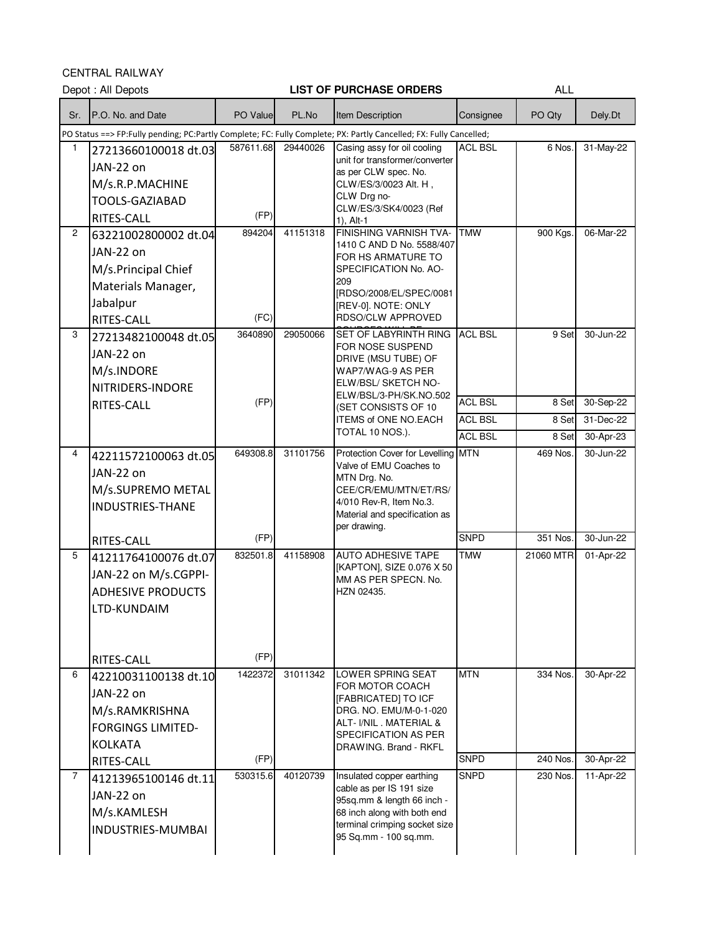CENTRAL RAILWAY

|                | VLIVINAL NAILWAI<br>Depot: All Depots                                                                              |                   |          | <b>LIST OF PURCHASE ORDERS</b>                                                                                                                                                     |                                  | ALL                  |                        |
|----------------|--------------------------------------------------------------------------------------------------------------------|-------------------|----------|------------------------------------------------------------------------------------------------------------------------------------------------------------------------------------|----------------------------------|----------------------|------------------------|
| Sr.            | P.O. No. and Date                                                                                                  | PO Value          | PL.No    | Item Description                                                                                                                                                                   | Consignee                        | PO Qty               | Dely.Dt                |
|                | PO Status ==> FP:Fully pending; PC:Partly Complete; FC: Fully Complete; PX: Partly Cancelled; FX: Fully Cancelled; |                   |          |                                                                                                                                                                                    |                                  |                      |                        |
| $\mathbf{1}$   | 27213660100018 dt.03<br>JAN-22 on<br>M/s.R.P.MACHINE<br><b>TOOLS-GAZIABAD</b><br>RITES-CALL                        | 587611.68<br>(FP) | 29440026 | Casing assy for oil cooling<br>unit for transformer/converter<br>as per CLW spec. No.<br>CLW/ES/3/0023 Alt. H,<br>CLW Drg no-<br>CLW/ES/3/SK4/0023 (Ref<br>$1)$ , Alt-1            | <b>ACL BSL</b>                   | 6 Nos.               | 31-May-22              |
| $\overline{2}$ | 63221002800002 dt.04<br>JAN-22 on<br>M/s.Principal Chief<br>Materials Manager,<br>Jabalpur<br>RITES-CALL           | 894204<br>(FC)    | 41151318 | FINISHING VARNISH TVA-<br>1410 C AND D No. 5588/407<br>FOR HS ARMATURE TO<br>SPECIFICATION No. AO-<br>209<br>[RDSO/2008/EL/SPEC/0081<br>[REV-0]. NOTE: ONLY<br>RDSO/CLW APPROVED   | <b>TMW</b>                       | 900 Kgs              | 06-Mar-22              |
| 3              | 27213482100048 dt.05<br>JAN-22 on<br>M/s.INDORE<br>NITRIDERS-INDORE<br>RITES-CALL                                  | 3640890<br>(FP)   | 29050066 | <b>SET OF LABYRINTH RING</b><br>FOR NOSE SUSPEND<br>DRIVE (MSU TUBE) OF<br>WAP7/WAG-9 AS PER<br>ELW/BSL/ SKETCH NO-<br>ELW/BSL/3-PH/SK.NO.502                                      | <b>ACL BSL</b><br><b>ACL BSL</b> | 9 Set<br>8 Set       | 30-Jun-22<br>30-Sep-22 |
|                |                                                                                                                    |                   |          | (SET CONSISTS OF 10<br>ITEMS of ONE NO.EACH<br>TOTAL 10 NOS.).                                                                                                                     | <b>ACL BSL</b>                   | 8 Set                | 31-Dec-22              |
|                |                                                                                                                    |                   |          |                                                                                                                                                                                    | <b>ACL BSL</b>                   | 8 Set                | 30-Apr-23              |
| $\overline{4}$ | 42211572100063 dt.05<br>JAN-22 on<br>M/s.SUPREMO METAL<br><b>INDUSTRIES-THANE</b>                                  | 649308.8          | 31101756 | Protection Cover for Levelling MTN<br>Valve of EMU Coaches to<br>MTN Drg. No.<br>CEE/CR/EMU/MTN/ET/RS/<br>4/010 Rev-R, Item No.3.<br>Material and specification as<br>per drawing. |                                  | 469 Nos.             | 30-Jun-22              |
|                | RITES-CALL                                                                                                         | (FP)              |          |                                                                                                                                                                                    | <b>SNPD</b>                      | 351 Nos.             | 30-Jun-22              |
| 5              | 41211764100076 dt.07<br>JAN-22 on M/s.CGPPI-<br><b>ADHESIVE PRODUCTS</b><br>LTD-KUNDAIM                            | 832501.8          | 41158908 | <b>AUTO ADHESIVE TAPE</b><br>[KAPTON], SIZE 0.076 X 50<br>MM AS PER SPECN. No.<br>HZN 02435.                                                                                       | <b>TMW</b>                       | 21060 MTR            | 01-Apr-22              |
|                | RITES-CALL                                                                                                         | (FP)              |          |                                                                                                                                                                                    |                                  |                      |                        |
| 6              | 42210031100138 dt.10<br>JAN-22 on<br>M/s.RAMKRISHNA<br><b>FORGINGS LIMITED-</b><br><b>KOLKATA</b>                  | 1422372<br>(FP)   | 31011342 | LOWER SPRING SEAT<br>FOR MOTOR COACH<br>[FABRICATED] TO ICF<br>DRG. NO. EMU/M-0-1-020<br>ALT- VNIL, MATERIAL &<br>SPECIFICATION AS PER<br>DRAWING. Brand - RKFL                    | <b>MTN</b><br><b>SNPD</b>        | 334 Nos.<br>240 Nos. | 30-Apr-22<br>30-Apr-22 |
| $\overline{7}$ | RITES-CALL                                                                                                         | 530315.6          | 40120739 | Insulated copper earthing                                                                                                                                                          | <b>SNPD</b>                      | 230 Nos.             | 11-Apr-22              |
|                | 41213965100146 dt.11<br>JAN-22 on<br>M/s.KAMLESH<br>INDUSTRIES-MUMBAI                                              |                   |          | cable as per IS 191 size<br>95sq.mm & length 66 inch -<br>68 inch along with both end<br>terminal crimping socket size<br>95 Sq.mm - 100 sq.mm.                                    |                                  |                      |                        |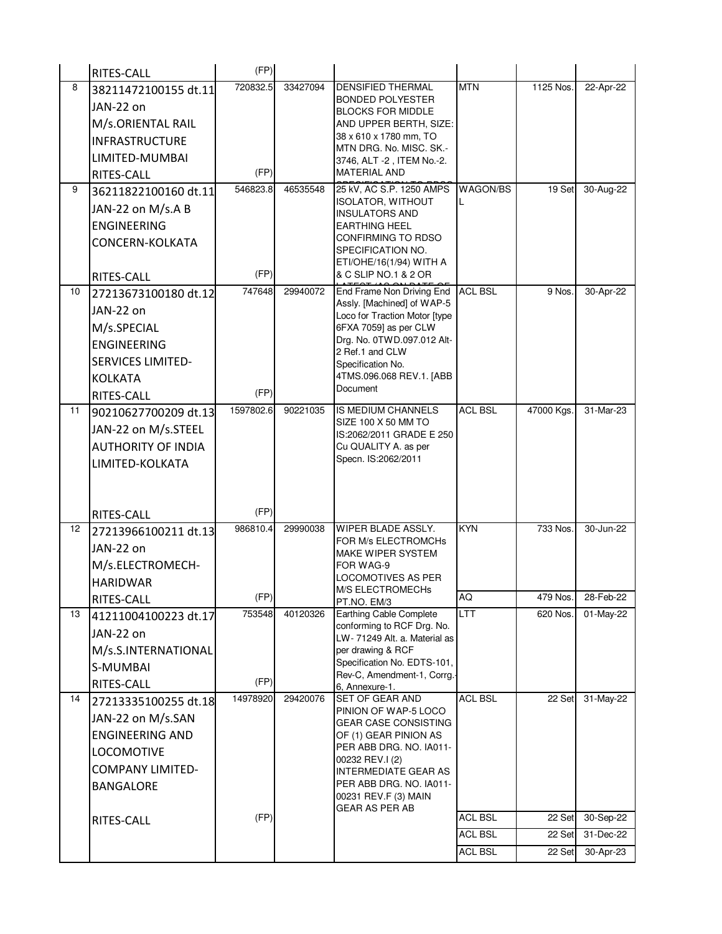|    | RITES-CALL                | (FP)      |          |                                                             |                |            |           |
|----|---------------------------|-----------|----------|-------------------------------------------------------------|----------------|------------|-----------|
| 8  | 38211472100155 dt.11      | 720832.5  | 33427094 | DENSIFIED THERMAL                                           | <b>MTN</b>     | 1125 Nos.  | 22-Apr-22 |
|    | JAN-22 on                 |           |          | <b>BONDED POLYESTER</b><br><b>BLOCKS FOR MIDDLE</b>         |                |            |           |
|    | M/s.ORIENTAL RAIL         |           |          | AND UPPER BERTH, SIZE:                                      |                |            |           |
|    | <b>INFRASTRUCTURE</b>     |           |          | 38 x 610 x 1780 mm, TO<br>MTN DRG. No. MISC. SK.-           |                |            |           |
|    | LIMITED-MUMBAI            |           |          | 3746, ALT -2, ITEM No.-2.                                   |                |            |           |
|    | RITES-CALL                | (FP)      |          | <b>MATERIAL AND</b>                                         |                |            |           |
| 9  | 36211822100160 dt.11      | 546823.8  | 46535548 | 25 kV, AC S.P. 1250 AMPS                                    | WAGON/BS       | 19 Set     | 30-Aug-22 |
|    | JAN-22 on M/s.A B         |           |          | <b>ISOLATOR, WITHOUT</b><br>INSULATORS AND                  |                |            |           |
|    | <b>ENGINEERING</b>        |           |          | <b>EARTHING HEEL</b>                                        |                |            |           |
|    | CONCERN-KOLKATA           |           |          | CONFIRMING TO RDSO                                          |                |            |           |
|    |                           |           |          | SPECIFICATION NO.<br>ETI/OHE/16(1/94) WITH A                |                |            |           |
|    | RITES-CALL                | (FP)      |          | & C SLIP NO.1 & 2 OR                                        |                |            |           |
| 10 | 27213673100180 dt.12      | 747648    | 29940072 | End Frame Non Driving End                                   | <b>ACL BSL</b> | 9 Nos.     | 30-Apr-22 |
|    | JAN-22 on                 |           |          | Assly. [Machined] of WAP-5<br>Loco for Traction Motor [type |                |            |           |
|    | M/s.SPECIAL               |           |          | 6FXA 7059] as per CLW                                       |                |            |           |
|    | <b>ENGINEERING</b>        |           |          | Drg. No. 0TWD.097.012 Alt-                                  |                |            |           |
|    | <b>SERVICES LIMITED-</b>  |           |          | 2 Ref.1 and CLW<br>Specification No.                        |                |            |           |
|    | <b>KOLKATA</b>            |           |          | 4TMS.096.068 REV.1. [ABB                                    |                |            |           |
|    | RITES-CALL                | (FP)      |          | Document                                                    |                |            |           |
| 11 | 90210627700209 dt.13      | 1597802.6 | 90221035 | IS MEDIUM CHANNELS                                          | <b>ACL BSL</b> | 47000 Kgs. | 31-Mar-23 |
|    | JAN-22 on M/s.STEEL       |           |          | SIZE 100 X 50 MM TO                                         |                |            |           |
|    | <b>AUTHORITY OF INDIA</b> |           |          | IS:2062/2011 GRADE E 250<br>Cu QUALITY A. as per            |                |            |           |
|    | LIMITED-KOLKATA           |           |          | Specn. IS:2062/2011                                         |                |            |           |
|    |                           |           |          |                                                             |                |            |           |
|    |                           |           |          |                                                             |                |            |           |
|    | RITES-CALL                | (FP)      |          |                                                             |                |            |           |
| 12 | 27213966100211 dt.13      | 986810.4  | 29990038 | WIPER BLADE ASSLY.                                          | <b>KYN</b>     | 733 Nos.   | 30-Jun-22 |
|    | JAN-22 on                 |           |          | FOR M/s ELECTROMCHs<br><b>MAKE WIPER SYSTEM</b>             |                |            |           |
|    | M/s.ELECTROMECH-          |           |          | FOR WAG-9                                                   |                |            |           |
|    | <b>HARIDWAR</b>           |           |          | LOCOMOTIVES AS PER                                          |                |            |           |
|    | RITES-CALL                | (FP)      |          | M/S ELECTROMECHS<br>PT.NO. EM/3                             | AQ             | 479 Nos.   | 28-Feb-22 |
| 13 | 41211004100223 dt.17      | 753548    | 40120326 | Earthing Cable Complete                                     | <b>LTT</b>     | 620 Nos.   | 01-May-22 |
|    | JAN-22 on                 |           |          | conforming to RCF Drg. No.<br>LW-71249 Alt. a. Material as  |                |            |           |
|    | M/s.S.INTERNATIONAL       |           |          | per drawing & RCF                                           |                |            |           |
|    | S-MUMBAI                  |           |          | Specification No. EDTS-101,                                 |                |            |           |
|    | <b>RITES-CALL</b>         | (FP)      |          | Rev-C, Amendment-1, Corrg.<br>6, Annexure-1.                |                |            |           |
| 14 | 27213335100255 dt.18      | 14978920  | 29420076 | <b>SET OF GEAR AND</b>                                      | <b>ACL BSL</b> | 22 Set     | 31-May-22 |
|    | JAN-22 on M/s.SAN         |           |          | PINION OF WAP-5 LOCO<br><b>GEAR CASE CONSISTING</b>         |                |            |           |
|    | <b>ENGINEERING AND</b>    |           |          | OF (1) GEAR PINION AS                                       |                |            |           |
|    | <b>LOCOMOTIVE</b>         |           |          | PER ABB DRG. NO. IA011-                                     |                |            |           |
|    | <b>COMPANY LIMITED-</b>   |           |          | 00232 REV.I (2)<br><b>INTERMEDIATE GEAR AS</b>              |                |            |           |
|    | <b>BANGALORE</b>          |           |          | PER ABB DRG. NO. IA011-                                     |                |            |           |
|    |                           |           |          | 00231 REV.F (3) MAIN<br>GEAR AS PER AB                      |                |            |           |
|    | RITES-CALL                | (FP)      |          |                                                             | <b>ACL BSL</b> | 22 Set     | 30-Sep-22 |
|    |                           |           |          |                                                             | <b>ACL BSL</b> | 22 Set     | 31-Dec-22 |
|    |                           |           |          |                                                             | <b>ACL BSL</b> | 22 Set     | 30-Apr-23 |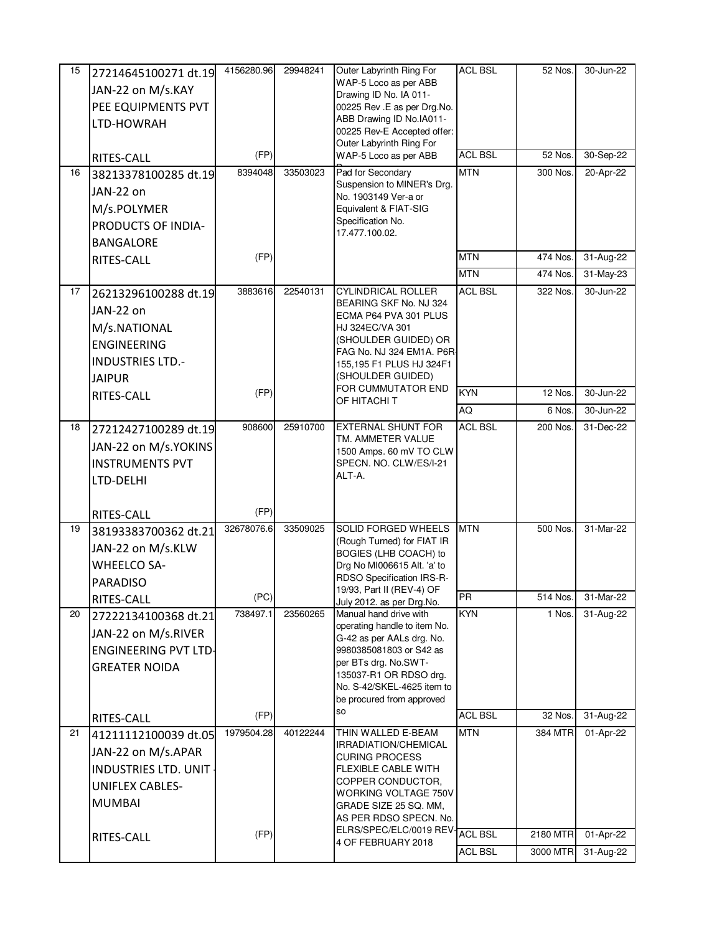| 15 | 27214645100271 dt.19               | 4156280.96 | 29948241 | Outer Labyrinth Ring For                                  | <b>ACL BSL</b> | 52 Nos.  | 30-Jun-22                            |
|----|------------------------------------|------------|----------|-----------------------------------------------------------|----------------|----------|--------------------------------------|
|    | JAN-22 on M/s.KAY                  |            |          | WAP-5 Loco as per ABB                                     |                |          |                                      |
|    | PEE EQUIPMENTS PVT                 |            |          | Drawing ID No. IA 011-<br>00225 Rev .E as per Drg.No.     |                |          |                                      |
|    | LTD-HOWRAH                         |            |          | ABB Drawing ID No.IA011-                                  |                |          |                                      |
|    |                                    |            |          | 00225 Rev-E Accepted offer:                               |                |          |                                      |
|    | RITES-CALL                         | (FP)       |          | Outer Labyrinth Ring For<br>WAP-5 Loco as per ABB         | <b>ACL BSL</b> | 52 Nos.  | 30-Sep-22                            |
| 16 | 38213378100285 dt.19               | 8394048    | 33503023 | Pad for Secondary                                         | <b>MTN</b>     | 300 Nos. | 20-Apr-22                            |
|    |                                    |            |          | Suspension to MINER's Drg.                                |                |          |                                      |
|    | JAN-22 on                          |            |          | No. 1903149 Ver-a or                                      |                |          |                                      |
|    | M/s.POLYMER                        |            |          | Equivalent & FIAT-SIG<br>Specification No.                |                |          |                                      |
|    | PRODUCTS OF INDIA-                 |            |          | 17.477.100.02.                                            |                |          |                                      |
|    | <b>BANGALORE</b>                   |            |          |                                                           |                |          |                                      |
|    | RITES-CALL                         | (FP)       |          |                                                           | <b>MTN</b>     | 474 Nos. | 31-Aug-22                            |
|    |                                    |            |          |                                                           | <b>MTN</b>     | 474 Nos. | $31$ -May-23                         |
| 17 | 26213296100288 dt.19               | 3883616    | 22540131 | <b>CYLINDRICAL ROLLER</b><br>BEARING SKF No. NJ 324       | <b>ACL BSL</b> | 322 Nos. | 30-Jun-22                            |
|    | JAN-22 on                          |            |          | ECMA P64 PVA 301 PLUS                                     |                |          |                                      |
|    | M/s.NATIONAL                       |            |          | HJ 324EC/VA 301                                           |                |          |                                      |
|    | <b>ENGINEERING</b>                 |            |          | (SHOULDER GUIDED) OR<br>FAG No. NJ 324 EM1A. P6R-         |                |          |                                      |
|    | <b>INDUSTRIES LTD.-</b>            |            |          | 155,195 F1 PLUS HJ 324F1                                  |                |          |                                      |
|    | <b>JAIPUR</b>                      |            |          | (SHOULDER GUIDED)<br>FOR CUMMUTATOR END                   |                |          |                                      |
|    | RITES-CALL                         | (FP)       |          | OF HITACHI T                                              | <b>KYN</b>     | 12 Nos.  | 30-Jun-22                            |
|    |                                    |            |          |                                                           | AQ             | 6 Nos.   | 30-Jun-22                            |
| 18 | 27212427100289 dt.19               | 908600     | 25910700 | <b>EXTERNAL SHUNT FOR</b>                                 | <b>ACL BSL</b> | 200 Nos. | 31-Dec-22                            |
|    | JAN-22 on M/s.YOKINS               |            |          | TM. AMMETER VALUE<br>1500 Amps. 60 mV TO CLW              |                |          |                                      |
|    | <b>INSTRUMENTS PVT</b>             |            |          | SPECN. NO. CLW/ES/I-21                                    |                |          |                                      |
|    | LTD-DELHI                          |            |          | ALT-A.                                                    |                |          |                                      |
|    |                                    |            |          |                                                           |                |          |                                      |
|    | RITES-CALL                         | (FP)       |          |                                                           |                |          |                                      |
| 19 | 38193383700362 dt.21               | 32678076.6 | 33509025 | <b>SOLID FORGED WHEELS</b>                                | <b>MTN</b>     | 500 Nos. | 31-Mar-22                            |
|    | JAN-22 on M/s.KLW                  |            |          | (Rough Turned) for FIAT IR<br>BOGIES (LHB COACH) to       |                |          |                                      |
|    | <b>WHEELCO SA-</b>                 |            |          | Drg No MI006615 Alt. 'a' to                               |                |          |                                      |
|    | <b>PARADISO</b>                    |            |          | RDSO Specification IRS-R-                                 |                |          |                                      |
|    | <b>RITES-CALL</b>                  | (PC)       |          | 19/93, Part II (REV-4) OF<br>July 2012. as per Drg.No.    | PR             | 514 Nos. | 31-Mar-22                            |
| 20 | 27222134100368 dt.21               | 738497.1   | 23560265 | Manual hand drive with                                    | <b>KYN</b>     | 1 Nos.   | 31-Aug-22                            |
|    | JAN-22 on M/s.RIVER                |            |          | operating handle to item No.<br>G-42 as per AALs drg. No. |                |          |                                      |
|    | <b>ENGINEERING PVT LTD-</b>        |            |          | 9980385081803 or S42 as                                   |                |          |                                      |
|    | <b>GREATER NOIDA</b>               |            |          | per BTs drg. No.SWT-                                      |                |          |                                      |
|    |                                    |            |          | 135037-R1 OR RDSO drg.                                    |                |          |                                      |
|    |                                    |            |          |                                                           |                |          |                                      |
|    |                                    |            |          | No. S-42/SKEL-4625 item to<br>be procured from approved   |                |          |                                      |
|    |                                    | (FP)       |          | so                                                        | <b>ACL BSL</b> | 32 Nos.  | 31-Aug-22                            |
| 21 | RITES-CALL<br>41211112100039 dt.05 | 1979504.28 | 40122244 | THIN WALLED E-BEAM                                        | <b>MTN</b>     | 384 MTR  | 01-Apr-22                            |
|    |                                    |            |          | IRRADIATION/CHEMICAL                                      |                |          |                                      |
|    | JAN-22 on M/s.APAR                 |            |          | <b>CURING PROCESS</b>                                     |                |          |                                      |
|    | <b>INDUSTRIES LTD. UNIT</b>        |            |          | FLEXIBLE CABLE WITH<br>COPPER CONDUCTOR,                  |                |          |                                      |
|    | <b>UNIFLEX CABLES-</b>             |            |          | WORKING VOLTAGE 750V                                      |                |          |                                      |
|    | <b>MUMBAI</b>                      |            |          | GRADE SIZE 25 SQ. MM,<br>AS PER RDSO SPECN. No.           |                |          |                                      |
|    |                                    |            |          | ELRS/SPEC/ELC/0019 REV-                                   | <b>ACL BSL</b> | 2180 MTR |                                      |
|    | RITES-CALL                         | (FP)       |          | 4 OF FEBRUARY 2018                                        | <b>ACL BSL</b> | 3000 MTR | 01-Apr-22<br>$\overline{31}$ -Aug-22 |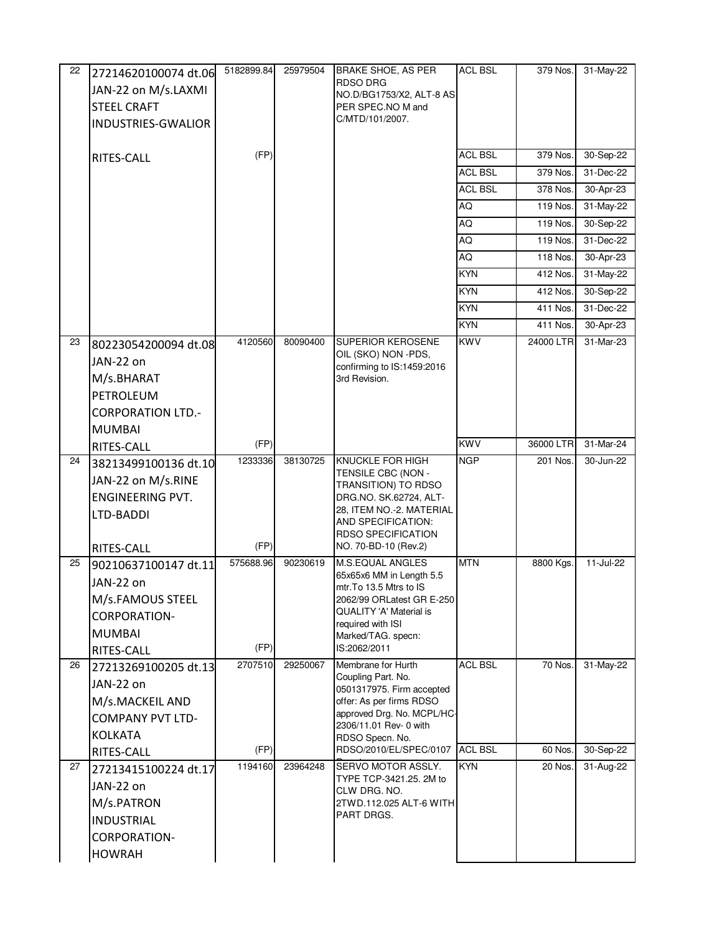| 22 | 27214620100074 dt.06     | 5182899.84 | 25979504 | <b>BRAKE SHOE, AS PER</b>                                   | <b>ACL BSL</b> | 379 Nos.  | 31-May-22               |
|----|--------------------------|------------|----------|-------------------------------------------------------------|----------------|-----------|-------------------------|
|    | JAN-22 on M/s.LAXMI      |            |          | <b>RDSO DRG</b><br>NO.D/BG1753/X2, ALT-8 AS                 |                |           |                         |
|    | <b>STEEL CRAFT</b>       |            |          | PER SPEC.NO M and                                           |                |           |                         |
|    | INDUSTRIES-GWALIOR       |            |          | C/MTD/101/2007.                                             |                |           |                         |
|    |                          |            |          |                                                             |                |           |                         |
|    | <b>RITES-CALL</b>        | (FP)       |          |                                                             | <b>ACL BSL</b> | 379 Nos.  | 30-Sep-22               |
|    |                          |            |          |                                                             | <b>ACL BSL</b> | 379 Nos.  | 31-Dec-22               |
|    |                          |            |          |                                                             | <b>ACL BSL</b> | 378 Nos.  | 30-Apr-23               |
|    |                          |            |          |                                                             | AQ             | 119 Nos.  | $31$ -May-22            |
|    |                          |            |          |                                                             | AQ             | 119 Nos.  | 30-Sep-22               |
|    |                          |            |          |                                                             | AQ             | 119 Nos.  | 31-Dec-22               |
|    |                          |            |          |                                                             | AQ             | 118 Nos.  | 30-Apr-23               |
|    |                          |            |          |                                                             | <b>KYN</b>     | 412 Nos.  | 31-May-22               |
|    |                          |            |          |                                                             | <b>KYN</b>     | 412 Nos.  | 30-Sep-22               |
|    |                          |            |          |                                                             | <b>KYN</b>     | 411 Nos.  | 31-Dec-22               |
|    |                          |            |          |                                                             | <b>KYN</b>     | 411 Nos.  | 30-Apr-23               |
| 23 | 80223054200094 dt.08     | 4120560    | 80090400 | <b>SUPERIOR KEROSENE</b>                                    | <b>KWV</b>     | 24000 LTR | 31-Mar-23               |
|    | JAN-22 on                |            |          | OIL (SKO) NON -PDS,<br>confirming to IS:1459:2016           |                |           |                         |
|    | M/s.BHARAT               |            |          | 3rd Revision.                                               |                |           |                         |
|    | PETROLEUM                |            |          |                                                             |                |           |                         |
|    | <b>CORPORATION LTD.-</b> |            |          |                                                             |                |           |                         |
|    | <b>MUMBAI</b>            |            |          |                                                             |                |           |                         |
|    | RITES-CALL               | (FP)       |          |                                                             | <b>KWV</b>     | 36000 LTR | 31-Mar-24               |
| 24 | 38213499100136 dt.10     | 1233336    | 38130725 | KNUCKLE FOR HIGH<br>TENSILE CBC (NON -                      | NGP            | 201 Nos.  | 30-Jun-22               |
|    | JAN-22 on M/s.RINE       |            |          | TRANSITION) TO RDSO                                         |                |           |                         |
|    | <b>ENGINEERING PVT.</b>  |            |          | DRG.NO. SK.62724, ALT-                                      |                |           |                         |
|    | LTD-BADDI                |            |          | 28, ITEM NO.-2. MATERIAL<br>AND SPECIFICATION:              |                |           |                         |
|    |                          |            |          | <b>RDSO SPECIFICATION</b>                                   |                |           |                         |
|    | RITES-CALL               | (FP)       |          | NO. 70-BD-10 (Rev.2)                                        |                |           |                         |
| 25 | 90210637100147 dt.11     | 575688.96  | 90230619 | <b>M.S.EQUAL ANGLES</b><br>65x65x6 MM in Length 5.5         | <b>MTN</b>     | 8800 Kgs. | 11-Jul-22               |
|    | JAN-22 on                |            |          | mtr.To 13.5 Mtrs to IS                                      |                |           |                         |
|    | M/s.FAMOUS STEEL         |            |          | 2062/99 ORLatest GR E-250<br><b>QUALITY 'A' Material is</b> |                |           |                         |
|    | <b>CORPORATION-</b>      |            |          | required with ISI                                           |                |           |                         |
|    | <b>MUMBAI</b>            |            |          | Marked/TAG. specn:                                          |                |           |                         |
|    | RITES-CALL               | (FP)       |          | IS:2062/2011                                                |                |           |                         |
| 26 | 27213269100205 dt.13     | 2707510    | 29250067 | Membrane for Hurth<br>Coupling Part. No.                    | <b>ACL BSL</b> | 70 Nos.   | 31-May-22               |
|    | JAN-22 on                |            |          | 0501317975. Firm accepted                                   |                |           |                         |
|    | M/s.MACKEIL AND          |            |          | offer: As per firms RDSO<br>approved Drg. No. MCPL/HC-      |                |           |                         |
|    | <b>COMPANY PVT LTD-</b>  |            |          | 2306/11.01 Rev- 0 with                                      |                |           |                         |
|    | <b>KOLKATA</b>           |            |          | RDSO Specn. No.                                             |                |           |                         |
|    | RITES-CALL               | (FP)       |          | RDSO/2010/EL/SPEC/0107                                      | <b>ACL BSL</b> | 60 Nos.   | 30-Sep-22               |
| 27 | 27213415100224 dt.17     | 1194160    | 23964248 | SERVO MOTOR ASSLY.<br>TYPE TCP-3421.25. 2M to               | <b>KYN</b>     | 20 Nos.   | $\overline{31}$ -Aug-22 |
|    | JAN-22 on                |            |          | CLW DRG. NO.                                                |                |           |                         |
|    | M/s.PATRON               |            |          | 2TWD.112.025 ALT-6 WITH<br>PART DRGS.                       |                |           |                         |
|    | <b>INDUSTRIAL</b>        |            |          |                                                             |                |           |                         |
|    | <b>CORPORATION-</b>      |            |          |                                                             |                |           |                         |
|    | <b>HOWRAH</b>            |            |          |                                                             |                |           |                         |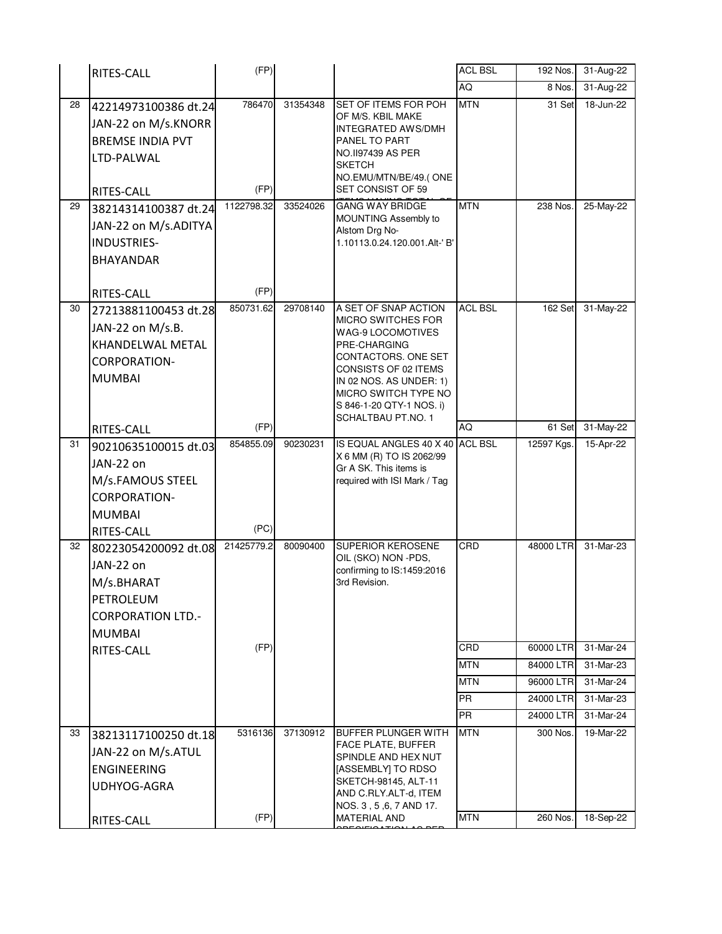|    | RITES-CALL                                                                                                  | (FP)               |          |                                                                                                                                                                                                                           | <b>ACL BSL</b>         | 192 Nos.               | 31-Aug-22                 |
|----|-------------------------------------------------------------------------------------------------------------|--------------------|----------|---------------------------------------------------------------------------------------------------------------------------------------------------------------------------------------------------------------------------|------------------------|------------------------|---------------------------|
|    |                                                                                                             |                    |          |                                                                                                                                                                                                                           | AQ                     | 8 Nos.                 | 31-Aug-22                 |
| 28 | 42214973100386 dt.24<br>JAN-22 on M/s.KNORR<br><b>BREMSE INDIA PVT</b><br>LTD-PALWAL                        | 786470             | 31354348 | SET OF ITEMS FOR POH<br>OF M/S. KBIL MAKE<br><b>INTEGRATED AWS/DMH</b><br>PANEL TO PART<br>NO.II97439 AS PER<br><b>SKETCH</b><br>NO.EMU/MTN/BE/49.(ONE                                                                    | <b>MTN</b>             | 31 Set                 | 18-Jun-22                 |
| 29 | RITES-CALL                                                                                                  | (FP)<br>1122798.32 | 33524026 | SET CONSIST OF 59<br><b>GANG WAY BRIDGE</b>                                                                                                                                                                               | <b>MTN</b>             | $238$ Nos.             | 25-May-22                 |
|    | 38214314100387 dt.24<br>JAN-22 on M/s.ADITYA<br><b>INDUSTRIES-</b><br><b>BHAYANDAR</b>                      |                    |          | MOUNTING Assembly to<br>Alstom Drg No-<br>1.10113.0.24.120.001.Alt-' B'                                                                                                                                                   |                        |                        |                           |
|    | RITES-CALL                                                                                                  | (FP)<br>850731.62  | 29708140 | A SET OF SNAP ACTION                                                                                                                                                                                                      | <b>ACL BSL</b>         | 162 Set                |                           |
| 30 | 27213881100453 dt.28<br>JAN-22 on M/s.B.<br>KHANDELWAL METAL<br><b>CORPORATION-</b><br><b>MUMBAI</b>        |                    |          | <b>MICRO SWITCHES FOR</b><br><b>WAG-9 LOCOMOTIVES</b><br>PRE-CHARGING<br>CONTACTORS, ONE SET<br>CONSISTS OF 02 ITEMS<br>IN 02 NOS. AS UNDER: 1)<br>MICRO SWITCH TYPE NO<br>S 846-1-20 QTY-1 NOS. i)<br>SCHALTBAU PT.NO. 1 |                        |                        | 31-May-22                 |
|    | RITES-CALL                                                                                                  | (FP)               |          |                                                                                                                                                                                                                           | <b>AQ</b>              | 61 Set                 | 31-May-22                 |
| 31 | 90210635100015 dt.03<br>JAN-22 on<br>M/s.FAMOUS STEEL<br><b>CORPORATION-</b><br><b>MUMBAI</b><br>RITES-CALL | 854855.09<br>(PC)  | 90230231 | IS EQUAL ANGLES 40 X 40 ACL BSL<br>X 6 MM (R) TO IS 2062/99<br>Gr A SK. This items is<br>required with ISI Mark / Tag                                                                                                     |                        | 12597 Kgs.             | 15-Apr-22                 |
| 32 | 80223054200092 dt.08<br>JAN-22 on<br>M/s.BHARAT<br>PETROLEUM<br><b>CORPORATION LTD.-</b><br><b>MUMBAI</b>   | 21425779.2         | 80090400 | <b>SUPERIOR KEROSENE</b><br>OIL (SKO) NON -PDS,<br>confirming to IS:1459:2016<br>3rd Revision.                                                                                                                            | CRD                    | 48000 LTR              | 31-Mar-23                 |
|    | RITES-CALL                                                                                                  | (FP)               |          |                                                                                                                                                                                                                           | CRD                    | 60000 LTR              | 31-Mar-24                 |
|    |                                                                                                             |                    |          |                                                                                                                                                                                                                           | <b>MTN</b>             | 84000 LTR              | 31-Mar-23                 |
|    |                                                                                                             |                    |          |                                                                                                                                                                                                                           | <b>MTN</b>             | 96000 LTR              | 31-Mar-24                 |
|    |                                                                                                             |                    |          |                                                                                                                                                                                                                           | <b>PR</b><br><b>PR</b> | 24000 LTR<br>24000 LTR | $31$ -Mar-23<br>31-Mar-24 |
| 33 |                                                                                                             | 5316136            | 37130912 | <b>BUFFER PLUNGER WITH</b>                                                                                                                                                                                                | <b>MTN</b>             | 300 Nos.               | 19-Mar-22                 |
|    | 38213117100250 dt.18<br>JAN-22 on M/s.ATUL<br><b>ENGINEERING</b><br>UDHYOG-AGRA<br>RITES-CALL               | (FP)               |          | FACE PLATE, BUFFER<br>SPINDLE AND HEX NUT<br>[ASSEMBLY] TO RDSO<br>SKETCH-98145, ALT-11<br>AND C.RLY.ALT-d, ITEM<br>NOS. 3, 5, 6, 7 AND 17.<br><b>MATERIAL AND</b>                                                        | <b>MTN</b>             | 260 Nos.               | 18-Sep-22                 |
|    |                                                                                                             |                    |          |                                                                                                                                                                                                                           |                        |                        |                           |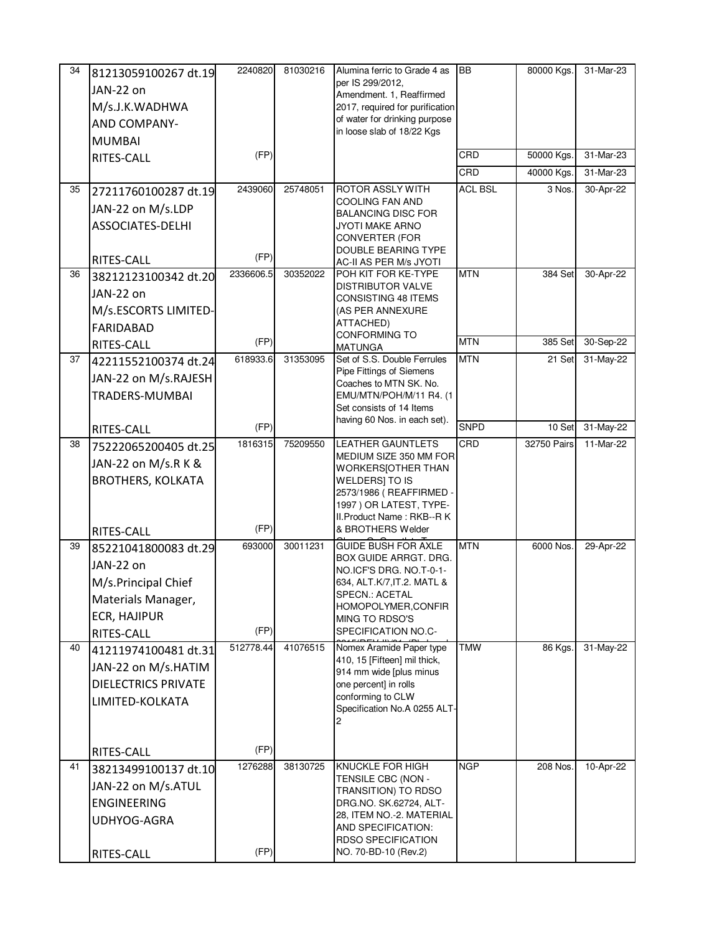| 34 | 81213059100267 dt.19              | 2240820   | 81030216 | Alumina ferric to Grade 4 as                               | <b>BB</b>      | 80000 Kgs.  | 31-Mar-23 |
|----|-----------------------------------|-----------|----------|------------------------------------------------------------|----------------|-------------|-----------|
|    | JAN-22 on                         |           |          | per IS 299/2012,<br>Amendment. 1, Reaffirmed               |                |             |           |
|    | M/s.J.K.WADHWA                    |           |          | 2017, required for purification                            |                |             |           |
|    | AND COMPANY-                      |           |          | of water for drinking purpose                              |                |             |           |
|    | <b>MUMBAI</b>                     |           |          | in loose slab of 18/22 Kgs                                 |                |             |           |
|    | RITES-CALL                        | (FP)      |          |                                                            | CRD            | 50000 Kgs.  | 31-Mar-23 |
|    |                                   |           |          |                                                            | CRD            | 40000 Kgs.  | 31-Mar-23 |
| 35 | 27211760100287 dt.19              | 2439060   | 25748051 | ROTOR ASSLY WITH                                           | <b>ACL BSL</b> | 3 Nos.      | 30-Apr-22 |
|    | JAN-22 on M/s.LDP                 |           |          | COOLING FAN AND                                            |                |             |           |
|    | <b>ASSOCIATES-DELHI</b>           |           |          | <b>BALANCING DISC FOR</b><br>JYOTI MAKE ARNO               |                |             |           |
|    |                                   |           |          | <b>CONVERTER (FOR</b>                                      |                |             |           |
|    |                                   | (FP)      |          | DOUBLE BEARING TYPE                                        |                |             |           |
| 36 | RITES-CALL                        | 2336606.5 | 30352022 | AC-II AS PER M/s JYOTI<br>POH KIT FOR KE-TYPE              | <b>MTN</b>     | 384 Set     | 30-Apr-22 |
|    | 38212123100342 dt.20<br>JAN-22 on |           |          | DISTRIBUTOR VALVE                                          |                |             |           |
|    |                                   |           |          | <b>CONSISTING 48 ITEMS</b>                                 |                |             |           |
|    | M/s.ESCORTS LIMITED-              |           |          | (AS PER ANNEXURE<br>ATTACHED)                              |                |             |           |
|    | <b>FARIDABAD</b>                  | (FP)      |          | <b>CONFORMING TO</b>                                       | <b>MTN</b>     | 385 Set     | 30-Sep-22 |
| 37 | RITES-CALL                        | 618933.6  | 31353095 | <b>MATUNGA</b><br>Set of S.S. Double Ferrules              | <b>MTN</b>     | 21 Set      | 31-May-22 |
|    | 42211552100374 dt.24              |           |          | Pipe Fittings of Siemens                                   |                |             |           |
|    | JAN-22 on M/s.RAJESH              |           |          | Coaches to MTN SK. No.                                     |                |             |           |
|    | TRADERS-MUMBAI                    |           |          | EMU/MTN/POH/M/11 R4. (1<br>Set consists of 14 Items        |                |             |           |
|    |                                   |           |          | having 60 Nos. in each set).                               |                |             |           |
|    | RITES-CALL                        | (FP)      |          |                                                            | <b>SNPD</b>    | 10 Set      | 31-May-22 |
| 38 | 75222065200405 dt.25              | 1816315   | 75209550 | <b>LEATHER GAUNTLETS</b><br>MEDIUM SIZE 350 MM FOR         | CRD            | 32750 Pairs | 11-Mar-22 |
|    | JAN-22 on M/s.R K &               |           |          | <b>WORKERS[OTHER THAN</b>                                  |                |             |           |
|    | <b>BROTHERS, KOLKATA</b>          |           |          | WELDERS] TO IS                                             |                |             |           |
|    |                                   |           |          | 2573/1986 (REAFFIRMED-<br>1997) OR LATEST, TYPE-           |                |             |           |
|    |                                   |           |          | II. Product Name: RKB--RK                                  |                |             |           |
|    | RITES-CALL                        | (FP)      |          | & BROTHERS Welder                                          |                |             |           |
| 39 | 85221041800083 dt.29              | 693000    | 30011231 | <b>GUIDE BUSH FOR AXLE</b><br><b>BOX GUIDE ARRGT. DRG.</b> | <b>MTN</b>     | 6000 Nos.   | 29-Apr-22 |
|    | JAN-22 on                         |           |          | NO.ICF'S DRG. NO.T-0-1-                                    |                |             |           |
|    | M/s.Principal Chief               |           |          | 634, ALT.K/7, IT.2. MATL &                                 |                |             |           |
|    | Materials Manager,                |           |          | SPECN.: ACETAL<br>HOMOPOLYMER, CONFIR                      |                |             |           |
|    | <b>ECR, HAJIPUR</b>               |           |          | MING TO RDSO'S                                             |                |             |           |
|    | RITES-CALL                        | (FP)      |          | SPECIFICATION NO.C-                                        |                |             |           |
| 40 | 41211974100481 dt.31              | 512778.44 | 41076515 | Nomex Aramide Paper type<br>410, 15 [Fifteen] mil thick,   | <b>TMW</b>     | 86 Kgs.     | 31-May-22 |
|    | JAN-22 on M/s.HATIM               |           |          | 914 mm wide [plus minus                                    |                |             |           |
|    | <b>DIELECTRICS PRIVATE</b>        |           |          | one percent] in rolls                                      |                |             |           |
|    | LIMITED-KOLKATA                   |           |          | conforming to CLW<br>Specification No.A 0255 ALT-          |                |             |           |
|    |                                   |           |          | 2                                                          |                |             |           |
|    |                                   |           |          |                                                            |                |             |           |
|    | RITES-CALL                        | (FP)      |          |                                                            |                |             |           |
| 41 | 38213499100137 dt.10              | 1276288   | 38130725 | KNUCKLE FOR HIGH                                           | <b>NGP</b>     | 208 Nos.    | 10-Apr-22 |
|    | JAN-22 on M/s.ATUL                |           |          | TENSILE CBC (NON -<br>TRANSITION) TO RDSO                  |                |             |           |
|    | <b>ENGINEERING</b>                |           |          | DRG.NO. SK.62724, ALT-                                     |                |             |           |
|    | UDHYOG-AGRA                       |           |          | 28, ITEM NO.-2. MATERIAL                                   |                |             |           |
|    |                                   |           |          | AND SPECIFICATION:<br><b>RDSO SPECIFICATION</b>            |                |             |           |
|    | RITES-CALL                        | (FP)      |          | NO. 70-BD-10 (Rev.2)                                       |                |             |           |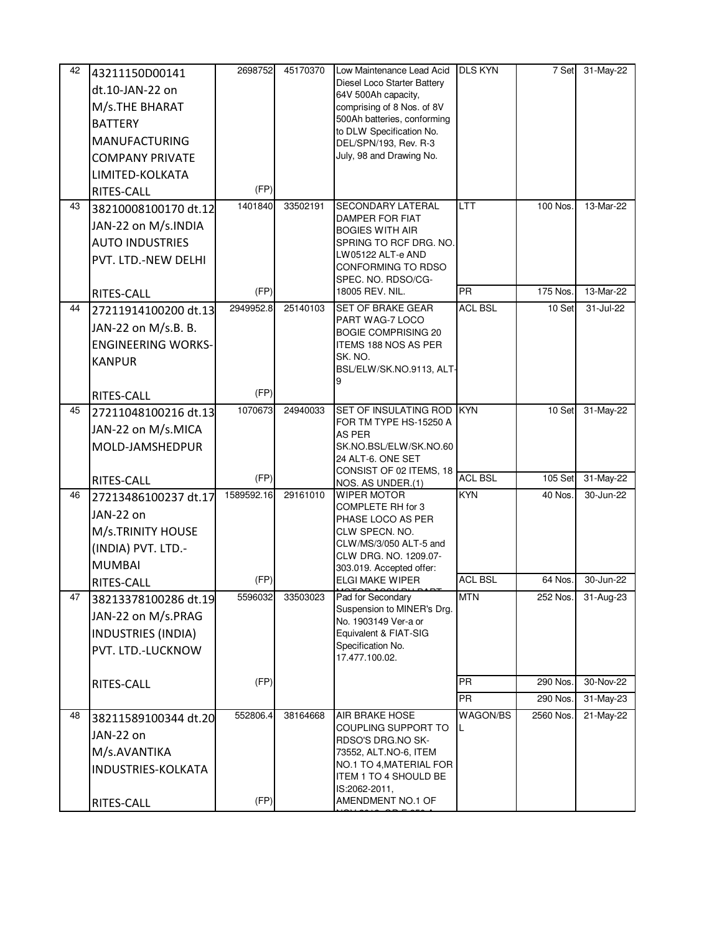| 42 | 43211150D00141<br>dt.10-JAN-22 on<br>M/s.THE BHARAT<br><b>BATTERY</b><br><b>MANUFACTURING</b><br><b>COMPANY PRIVATE</b><br>LIMITED-KOLKATA<br>RITES-CALL | 2698752<br>(FP) | 45170370 | Low Maintenance Lead Acid<br>Diesel Loco Starter Battery<br>64V 500Ah capacity,<br>comprising of 8 Nos. of 8V<br>500Ah batteries, conforming<br>to DLW Specification No.<br>DEL/SPN/193, Rev. R-3<br>July, 98 and Drawing No. | <b>DLS KYN</b> | 7 Set      | $31-May-22$ |
|----|----------------------------------------------------------------------------------------------------------------------------------------------------------|-----------------|----------|-------------------------------------------------------------------------------------------------------------------------------------------------------------------------------------------------------------------------------|----------------|------------|-------------|
| 43 | 38210008100170 dt.12                                                                                                                                     | 1401840         | 33502191 | <b>SECONDARY LATERAL</b>                                                                                                                                                                                                      | <b>LTT</b>     | $100$ Nos. | 13-Mar-22   |
|    | JAN-22 on M/s.INDIA                                                                                                                                      |                 |          | <b>DAMPER FOR FIAT</b><br><b>BOGIES WITH AIR</b>                                                                                                                                                                              |                |            |             |
|    | <b>AUTO INDUSTRIES</b>                                                                                                                                   |                 |          | SPRING TO RCF DRG. NO.                                                                                                                                                                                                        |                |            |             |
|    | PVT. LTD.-NEW DELHI                                                                                                                                      |                 |          | LW05122 ALT-e AND<br>CONFORMING TO RDSO                                                                                                                                                                                       |                |            |             |
|    |                                                                                                                                                          | (FP)            |          | SPEC. NO. RDSO/CG-<br>18005 REV. NIL.                                                                                                                                                                                         | <b>PR</b>      | 175 Nos.   | 13-Mar-22   |
| 44 | RITES-CALL<br>27211914100200 dt.13                                                                                                                       | 2949952.8       | 25140103 | <b>SET OF BRAKE GEAR</b>                                                                                                                                                                                                      | <b>ACL BSL</b> | 10 Set     | 31-Jul-22   |
|    | JAN-22 on M/s.B. B.                                                                                                                                      |                 |          | PART WAG-7 LOCO                                                                                                                                                                                                               |                |            |             |
|    | <b>ENGINEERING WORKS-</b>                                                                                                                                |                 |          | <b>BOGIE COMPRISING 20</b><br>ITEMS 188 NOS AS PER                                                                                                                                                                            |                |            |             |
|    | <b>KANPUR</b>                                                                                                                                            |                 |          | SK. NO.                                                                                                                                                                                                                       |                |            |             |
|    |                                                                                                                                                          |                 |          | BSL/ELW/SK.NO.9113, ALT-                                                                                                                                                                                                      |                |            |             |
|    | RITES-CALL                                                                                                                                               | (FP)            |          |                                                                                                                                                                                                                               |                |            |             |
| 45 | 27211048100216 dt.13                                                                                                                                     | 1070673         | 24940033 | SET OF INSULATING ROD<br>FOR TM TYPE HS-15250 A                                                                                                                                                                               | <b>KYN</b>     | 10 Set     | 31-May-22   |
|    | JAN-22 on M/s.MICA                                                                                                                                       |                 |          | <b>AS PER</b>                                                                                                                                                                                                                 |                |            |             |
|    | MOLD-JAMSHEDPUR                                                                                                                                          |                 |          | SK.NO.BSL/ELW/SK.NO.60<br>24 ALT-6. ONE SET                                                                                                                                                                                   |                |            |             |
|    |                                                                                                                                                          | (FP)            |          | CONSIST OF 02 ITEMS, 18                                                                                                                                                                                                       | <b>ACL BSL</b> | 105 Set    | 31-May-22   |
| 46 | RITES-CALL<br>27213486100237 dt.17                                                                                                                       | 1589592.16      | 29161010 | NOS. AS UNDER.(1)<br><b>WIPER MOTOR</b>                                                                                                                                                                                       | <b>KYN</b>     | 40 Nos.    | 30-Jun-22   |
|    | JAN-22 on                                                                                                                                                |                 |          | COMPLETE RH for 3                                                                                                                                                                                                             |                |            |             |
|    | M/s.TRINITY HOUSE                                                                                                                                        |                 |          | PHASE LOCO AS PER<br>CLW SPECN. NO.                                                                                                                                                                                           |                |            |             |
|    | (INDIA) PVT. LTD.-                                                                                                                                       |                 |          | CLW/MS/3/050 ALT-5 and                                                                                                                                                                                                        |                |            |             |
|    | <b>MUMBAI</b>                                                                                                                                            |                 |          | CLW DRG. NO. 1209.07-<br>303.019. Accepted offer:                                                                                                                                                                             |                |            |             |
|    | RITES-CALL                                                                                                                                               | (FP)            |          | ELGI MAKE WIPER                                                                                                                                                                                                               | <b>ACL BSL</b> | 64 Nos.    | 30-Jun-22   |
| 47 | 38213378100286 dt.19                                                                                                                                     | 5596032         | 33503023 | Pad for Secondary<br>Suspension to MINER's Drg.                                                                                                                                                                               | <b>MTN</b>     | 252 Nos.   | 31-Aug-23   |
|    | JAN-22 on M/s.PRAG                                                                                                                                       |                 |          | No. 1903149 Ver-a or                                                                                                                                                                                                          |                |            |             |
|    | <b>INDUSTRIES (INDIA)</b>                                                                                                                                |                 |          | Equivalent & FIAT-SIG<br>Specification No.                                                                                                                                                                                    |                |            |             |
|    | PVT. LTD.-LUCKNOW                                                                                                                                        |                 |          | 17.477.100.02.                                                                                                                                                                                                                |                |            |             |
|    | RITES-CALL                                                                                                                                               | (FP)            |          |                                                                                                                                                                                                                               | <b>PR</b>      | 290 Nos.   | 30-Nov-22   |
|    |                                                                                                                                                          |                 |          |                                                                                                                                                                                                                               | PR             | 290 Nos.   | 31-May-23   |
| 48 | 38211589100344 dt.20                                                                                                                                     | 552806.4        | 38164668 | <b>AIR BRAKE HOSE</b>                                                                                                                                                                                                         | WAGON/BS       | 2560 Nos.  | 21-May-22   |
|    | JAN-22 on                                                                                                                                                |                 |          | COUPLING SUPPORT TO<br>RDSO'S DRG.NO SK-                                                                                                                                                                                      | L              |            |             |
|    | M/s.AVANTIKA                                                                                                                                             |                 |          | 73552, ALT.NO-6, ITEM                                                                                                                                                                                                         |                |            |             |
|    | INDUSTRIES-KOLKATA                                                                                                                                       |                 |          | NO.1 TO 4, MATERIAL FOR<br>ITEM 1 TO 4 SHOULD BE                                                                                                                                                                              |                |            |             |
|    |                                                                                                                                                          |                 |          | IS:2062-2011,                                                                                                                                                                                                                 |                |            |             |
|    | RITES-CALL                                                                                                                                               | (FP)            |          | AMENDMENT NO.1 OF                                                                                                                                                                                                             |                |            |             |

NOV.2012, GR.E 250 A.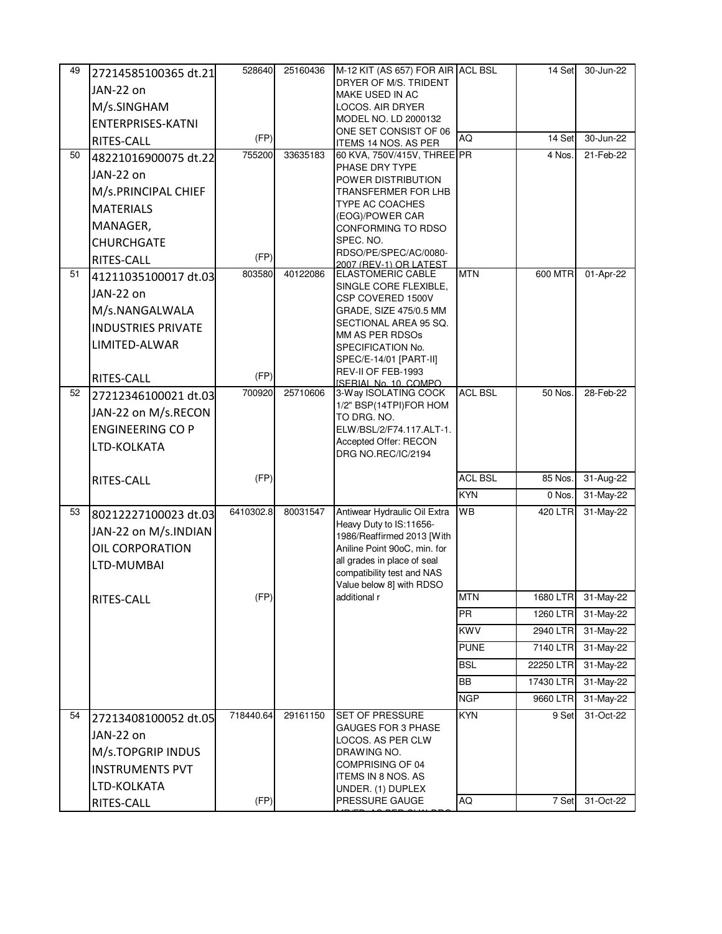| 49 | 27214585100365 dt.21      | 528640    | 25160436 | M-12 KIT (AS 657) FOR AIR ACL BSL                       |                              | 14 Set    | 30-Jun-22 |
|----|---------------------------|-----------|----------|---------------------------------------------------------|------------------------------|-----------|-----------|
|    | JAN-22 on                 |           |          | DRYER OF M/S. TRIDENT                                   |                              |           |           |
|    |                           |           |          | MAKE USED IN AC                                         |                              |           |           |
|    | M/s.SINGHAM               |           |          | LOCOS. AIR DRYER<br>MODEL NO. LD 2000132                |                              |           |           |
|    | <b>ENTERPRISES-KATNI</b>  |           |          | ONE SET CONSIST OF 06                                   |                              |           |           |
|    | RITES-CALL                | (FP)      |          | ITEMS 14 NOS. AS PER                                    | AQ                           | 14 Set    | 30-Jun-22 |
| 50 | 48221016900075 dt.22      | 755200    | 33635183 | 60 KVA, 750V/415V, THREE PR<br>PHASE DRY TYPE           |                              | 4 Nos.    | 21-Feb-22 |
|    | JAN-22 on                 |           |          | POWER DISTRIBUTION                                      |                              |           |           |
|    | M/s.PRINCIPAL CHIEF       |           |          | <b>TRANSFERMER FOR LHB</b>                              |                              |           |           |
|    | <b>MATERIALS</b>          |           |          | TYPE AC COACHES                                         |                              |           |           |
|    | MANAGER,                  |           |          | (EOG)/POWER CAR<br>CONFORMING TO RDSO                   |                              |           |           |
|    | <b>CHURCHGATE</b>         |           |          | SPEC. NO.                                               |                              |           |           |
|    | RITES-CALL                | (FP)      |          | RDSO/PE/SPEC/AC/0080-                                   |                              |           |           |
| 51 |                           | 803580    | 40122086 | 2007 (RFV-1) OR LATEST<br><b>ELASTOMERIC CABLE</b>      | <b>MTN</b>                   | 600 MTR   | 01-Apr-22 |
|    | 41211035100017 dt.03      |           |          | SINGLE CORE FLEXIBLE,                                   |                              |           |           |
|    | JAN-22 on                 |           |          | CSP COVERED 1500V                                       |                              |           |           |
|    | M/s.NANGALWALA            |           |          | GRADE, SIZE 475/0.5 MM                                  |                              |           |           |
|    | <b>INDUSTRIES PRIVATE</b> |           |          | SECTIONAL AREA 95 SQ.<br>MM AS PER RDSOs                |                              |           |           |
|    | LIMITED-ALWAR             |           |          | SPECIFICATION No.                                       |                              |           |           |
|    |                           |           |          | SPEC/E-14/01 [PART-II]                                  |                              |           |           |
|    | RITES-CALL                | (FP)      |          | REV-II OF FEB-1993                                      |                              |           |           |
| 52 | 27212346100021 dt.03      | 700920    | 25710606 | ISERIAL No. 10 COMPO<br>3-Way ISOLATING COCK            | <b>ACL BSL</b>               | 50 Nos.   | 28-Feb-22 |
|    | JAN-22 on M/s.RECON       |           |          | 1/2" BSP(14TPI)FOR HOM                                  |                              |           |           |
|    |                           |           |          | TO DRG. NO.                                             |                              |           |           |
|    | <b>ENGINEERING CO P</b>   |           |          | ELW/BSL/2/F74.117.ALT-1.<br>Accepted Offer: RECON       |                              |           |           |
|    | LTD-KOLKATA               |           |          | DRG NO.REC/IC/2194                                      |                              |           |           |
|    |                           |           |          |                                                         |                              |           |           |
|    | RITES-CALL                | (FP)      |          |                                                         | <b>ACL BSL</b><br><b>KYN</b> | 85 Nos.   | 31-Aug-22 |
|    |                           |           |          |                                                         |                              | 0 Nos.    | 31-May-22 |
| 53 | 80212227100023 dt.03      | 6410302.8 | 80031547 | Antiwear Hydraulic Oil Extra<br>Heavy Duty to IS:11656- | WB                           | 420 LTR   | 31-May-22 |
|    | JAN-22 on M/s.INDIAN      |           |          | 1986/Reaffirmed 2013 [With                              |                              |           |           |
|    | OIL CORPORATION           |           |          | Aniline Point 90oC, min. for                            |                              |           |           |
|    | LTD-MUMBAI                |           |          | all grades in place of seal                             |                              |           |           |
|    |                           |           |          | compatibility test and NAS<br>Value below 8] with RDSO  |                              |           |           |
|    | RITES-CALL                | (FP)      |          | additional r                                            | <b>MTN</b>                   | 1680 LTR  | 31-May-22 |
|    |                           |           |          |                                                         | PR                           | 1260 LTR  | 31-May-22 |
|    |                           |           |          |                                                         | <b>KWV</b>                   | 2940 LTR  | 31-May-22 |
|    |                           |           |          |                                                         | <b>PUNE</b>                  | 7140 LTR  | 31-May-22 |
|    |                           |           |          |                                                         | <b>BSL</b>                   | 22250 LTR | 31-May-22 |
|    |                           |           |          |                                                         | BB                           | 17430 LTR | 31-May-22 |
|    |                           |           |          |                                                         | <b>NGP</b>                   | 9660 LTR  | 31-May-22 |
| 54 | 27213408100052 dt.05      | 718440.64 | 29161150 | <b>SET OF PRESSURE</b>                                  | <b>KYN</b>                   | 9 Set     | 31-Oct-22 |
|    | JAN-22 on                 |           |          | <b>GAUGES FOR 3 PHASE</b><br>LOCOS. AS PER CLW          |                              |           |           |
|    | M/s.TOPGRIP INDUS         |           |          | DRAWING NO.                                             |                              |           |           |
|    | <b>INSTRUMENTS PVT</b>    |           |          | COMPRISING OF 04                                        |                              |           |           |
|    |                           |           |          | ITEMS IN 8 NOS. AS                                      |                              |           |           |
|    | LTD-KOLKATA               |           |          | UNDER. (1) DUPLEX                                       | AQ                           | 7 Set     | 31-Oct-22 |
|    | RITES-CALL                | (FP)      |          | PRESSURE GAUGE                                          |                              |           |           |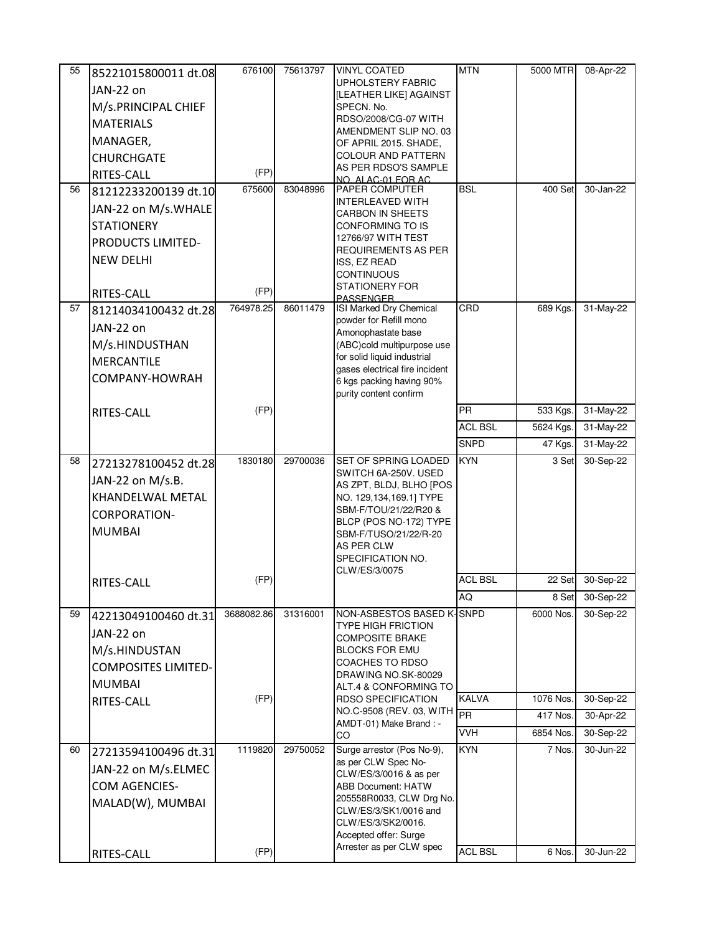| 55 | 85221015800011 dt.08       | 676100     | 75613797 | <b>VINYL COATED</b>                                        | <b>MTN</b>     | 5000 MTR            | 08-Apr-22 |
|----|----------------------------|------------|----------|------------------------------------------------------------|----------------|---------------------|-----------|
|    | JAN-22 on                  |            |          | <b>UPHOLSTERY FABRIC</b>                                   |                |                     |           |
|    | M/s.PRINCIPAL CHIEF        |            |          | [LEATHER LIKE] AGAINST<br>SPECN. No.                       |                |                     |           |
|    | <b>MATERIALS</b>           |            |          | RDSO/2008/CG-07 WITH                                       |                |                     |           |
|    |                            |            |          | AMENDMENT SLIP NO. 03                                      |                |                     |           |
|    | MANAGER,                   |            |          | OF APRIL 2015. SHADE,                                      |                |                     |           |
|    | <b>CHURCHGATE</b>          |            |          | <b>COLOUR AND PATTERN</b><br>AS PER RDSO'S SAMPLE          |                |                     |           |
|    | RITES-CALL                 | (FP)       |          | NO. ALAC-01 FOR AC                                         |                |                     |           |
| 56 | 81212233200139 dt.10       | 675600     | 83048996 | <b>PAPER COMPUTER</b>                                      | <b>BSL</b>     | 400 Set             | 30-Jan-22 |
|    | JAN-22 on M/s.WHALE        |            |          | <b>INTERLEAVED WITH</b><br><b>CARBON IN SHEETS</b>         |                |                     |           |
|    | <b>STATIONERY</b>          |            |          | CONFORMING TO IS                                           |                |                     |           |
|    | PRODUCTS LIMITED-          |            |          | 12766/97 WITH TEST                                         |                |                     |           |
|    | <b>NEW DELHI</b>           |            |          | <b>REQUIREMENTS AS PER</b>                                 |                |                     |           |
|    |                            |            |          | ISS, EZ READ<br><b>CONTINUOUS</b>                          |                |                     |           |
|    |                            | (FP)       |          | <b>STATIONERY FOR</b>                                      |                |                     |           |
|    | RITES-CALL                 |            |          | <b>PASSENGER</b>                                           |                |                     |           |
| 57 | 81214034100432 dt.28       | 764978.25  | 86011479 | ISI Marked Dry Chemical<br>powder for Refill mono          | CRD            | 689 Kgs.            | 31-May-22 |
|    | JAN-22 on                  |            |          | Amonophastate base                                         |                |                     |           |
|    | M/s.HINDUSTHAN             |            |          | (ABC)cold multipurpose use                                 |                |                     |           |
|    | MERCANTILE                 |            |          | for solid liquid industrial                                |                |                     |           |
|    | COMPANY-HOWRAH             |            |          | gases electrical fire incident<br>6 kgs packing having 90% |                |                     |           |
|    |                            |            |          | purity content confirm                                     |                |                     |           |
|    | RITES-CALL                 | (FP)       |          |                                                            | <b>PR</b>      | 533 Kgs.            | 31-May-22 |
|    |                            |            |          |                                                            | <b>ACL BSL</b> | 5624 Kgs.           | 31-May-22 |
|    |                            |            |          |                                                            | <b>SNPD</b>    | 47 Kgs.             | 31-May-22 |
| 58 |                            | 1830180    | 29700036 | SET OF SPRING LOADED                                       | <b>KYN</b>     | 3 Set               | 30-Sep-22 |
|    | 27213278100452 dt.28       |            |          | SWITCH 6A-250V. USED                                       |                |                     |           |
|    | JAN-22 on M/s.B.           |            |          | AS ZPT, BLDJ, BLHO [POS                                    |                |                     |           |
|    | KHANDELWAL METAL           |            |          | NO. 129,134,169.1] TYPE                                    |                |                     |           |
|    | <b>CORPORATION-</b>        |            |          | SBM-F/TOU/21/22/R20 &<br>BLCP (POS NO-172) TYPE            |                |                     |           |
|    | <b>MUMBAI</b>              |            |          | SBM-F/TUSO/21/22/R-20                                      |                |                     |           |
|    |                            |            |          | AS PER CLW                                                 |                |                     |           |
|    |                            |            |          | SPECIFICATION NO.<br>CLW/ES/3/0075                         |                |                     |           |
|    | RITES-CALL                 | (FP)       |          |                                                            | <b>ACL BSL</b> | 22 Set              | 30-Sep-22 |
|    |                            |            |          |                                                            | AQ             | 8 Set               | 30-Sep-22 |
| 59 | 42213049100460 dt.31       | 3688082.86 | 31316001 | NON-ASBESTOS BASED K-SNPD                                  |                | 6000 Nos.           | 30-Sep-22 |
|    | JAN-22 on                  |            |          | <b>TYPE HIGH FRICTION</b>                                  |                |                     |           |
|    | M/s.HINDUSTAN              |            |          | <b>COMPOSITE BRAKE</b><br><b>BLOCKS FOR EMU</b>            |                |                     |           |
|    |                            |            |          | <b>COACHES TO RDSO</b>                                     |                |                     |           |
|    | <b>COMPOSITES LIMITED-</b> |            |          | DRAWING NO.SK-80029                                        |                |                     |           |
|    | <b>MUMBAI</b>              |            |          | ALT.4 & CONFORMING TO                                      |                |                     |           |
|    | RITES-CALL                 | (FP)       |          | <b>RDSO SPECIFICATION</b><br>NO.C-9508 (REV. 03, WITH      | <b>KALVA</b>   | 1076 Nos.           | 30-Sep-22 |
|    |                            |            |          | AMDT-01) Make Brand : -                                    | PR             | 417 Nos.            | 30-Apr-22 |
|    |                            |            |          | CO                                                         | <b>VVH</b>     | 6854 Nos.           | 30-Sep-22 |
| 60 | 27213594100496 dt.31       | 1119820    | 29750052 | Surge arrestor (Pos No-9),                                 | <b>KYN</b>     | $\overline{7}$ Nos. | 30-Jun-22 |
|    | JAN-22 on M/s.ELMEC        |            |          | as per CLW Spec No-<br>CLW/ES/3/0016 & as per              |                |                     |           |
|    | <b>COM AGENCIES-</b>       |            |          | <b>ABB Document: HATW</b>                                  |                |                     |           |
|    | MALAD(W), MUMBAI           |            |          | 205558R0033, CLW Drg No.                                   |                |                     |           |
|    |                            |            |          | CLW/ES/3/SK1/0016 and                                      |                |                     |           |
|    |                            |            |          | CLW/ES/3/SK2/0016.<br>Accepted offer: Surge                |                |                     |           |
|    |                            | (FP)       |          | Arrester as per CLW spec                                   | <b>ACL BSL</b> | 6 Nos.              | 30-Jun-22 |
|    | RITES-CALL                 |            |          |                                                            |                |                     |           |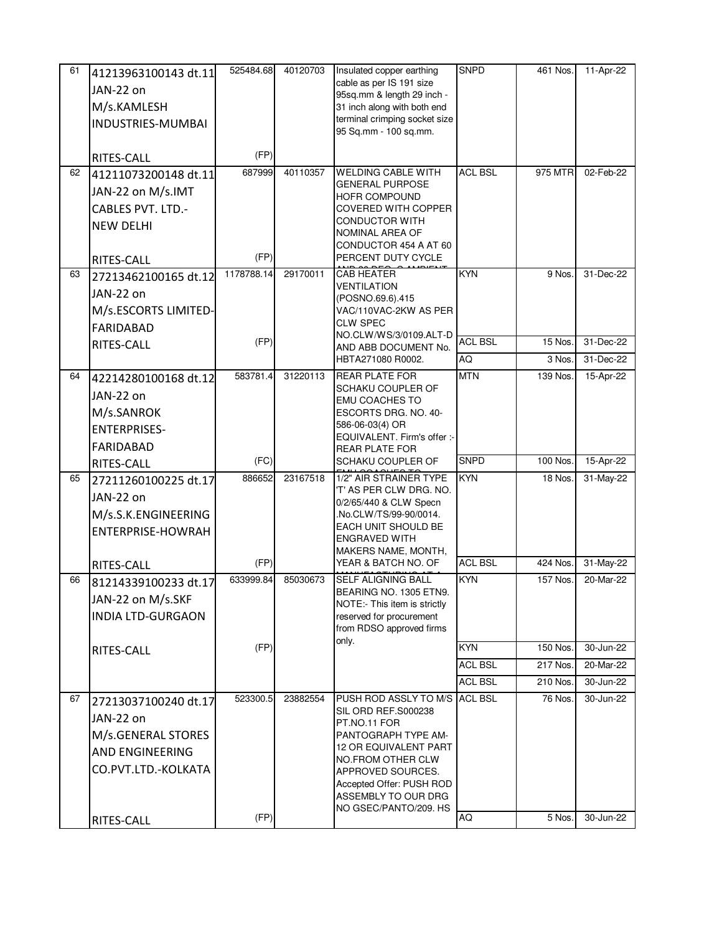| 61 | 41213963100143 dt.11     | 525484.68  | 40120703 | Insulated copper earthing                                 | SNPD           | 461 Nos. | 11-Apr-22 |
|----|--------------------------|------------|----------|-----------------------------------------------------------|----------------|----------|-----------|
|    | JAN-22 on                |            |          | cable as per IS 191 size                                  |                |          |           |
|    | M/s.KAMLESH              |            |          | 95sq.mm & length 29 inch -<br>31 inch along with both end |                |          |           |
|    | INDUSTRIES-MUMBAI        |            |          | terminal crimping socket size                             |                |          |           |
|    |                          |            |          | 95 Sq.mm - 100 sq.mm.                                     |                |          |           |
|    | RITES-CALL               | (FP)       |          |                                                           |                |          |           |
| 62 | 41211073200148 dt.11     | 687999     | 40110357 | <b>WELDING CABLE WITH</b>                                 | <b>ACL BSL</b> | 975 MTR  | 02-Feb-22 |
|    | JAN-22 on M/s.IMT        |            |          | <b>GENERAL PURPOSE</b><br><b>HOFR COMPOUND</b>            |                |          |           |
|    | <b>CABLES PVT. LTD.-</b> |            |          | <b>COVERED WITH COPPER</b>                                |                |          |           |
|    | <b>NEW DELHI</b>         |            |          | <b>CONDUCTOR WITH</b>                                     |                |          |           |
|    |                          |            |          | NOMINAL AREA OF<br>CONDUCTOR 454 A AT 60                  |                |          |           |
|    | RITES-CALL               | (FP)       |          | PERCENT DUTY CYCLE                                        |                |          |           |
| 63 | 27213462100165 dt.12     | 1178788.14 | 29170011 | <b>CAB HEATER</b>                                         | <b>KYN</b>     | 9 Nos.   | 31-Dec-22 |
|    | JAN-22 on                |            |          | <b>VENTILATION</b>                                        |                |          |           |
|    | M/s.ESCORTS LIMITED-     |            |          | (POSNO.69.6).415<br>VAC/110VAC-2KW AS PER                 |                |          |           |
|    | <b>FARIDABAD</b>         |            |          | <b>CLW SPEC</b>                                           |                |          |           |
|    | RITES-CALL               | (FP)       |          | NO.CLW/WS/3/0109.ALT-D<br>AND ABB DOCUMENT No.            | <b>ACL BSL</b> | 15 Nos.  | 31-Dec-22 |
|    |                          |            |          | HBTA271080 R0002.                                         | AQ             | 3 Nos.   | 31-Dec-22 |
| 64 | 42214280100168 dt.12     | 583781.4   | 31220113 | <b>REAR PLATE FOR</b>                                     | <b>MTN</b>     | 139 Nos. | 15-Apr-22 |
|    | JAN-22 on                |            |          | SCHAKU COUPLER OF                                         |                |          |           |
|    | M/s.SANROK               |            |          | <b>EMU COACHES TO</b><br>ESCORTS DRG. NO. 40-             |                |          |           |
|    | <b>ENTERPRISES-</b>      |            |          | 586-06-03(4) OR                                           |                |          |           |
|    | <b>FARIDABAD</b>         |            |          | EQUIVALENT. Firm's offer :-                               |                |          |           |
|    | RITES-CALL               | (FC)       |          | <b>REAR PLATE FOR</b><br>SCHAKU COUPLER OF                | <b>SNPD</b>    | 100 Nos. | 15-Apr-22 |
| 65 | 27211260100225 dt.17     | 886652     | 23167518 | 1/2" AIR STRAINER TYPE                                    | <b>KYN</b>     | 18 Nos.  | 31-May-22 |
|    | JAN-22 on                |            |          | 'T' AS PER CLW DRG. NO.                                   |                |          |           |
|    | M/s.S.K.ENGINEERING      |            |          | 0/2/65/440 & CLW Specn<br>.No.CLW/TS/99-90/0014.          |                |          |           |
|    | ENTERPRISE-HOWRAH        |            |          | EACH UNIT SHOULD BE                                       |                |          |           |
|    |                          |            |          | <b>ENGRAVED WITH</b>                                      |                |          |           |
|    | RITES-CALL               | (FP)       |          | MAKERS NAME, MONTH,<br>YEAR & BATCH NO. OF                | <b>ACL BSL</b> | 424 Nos. | 31-May-22 |
| 66 | 81214339100233 dt.17     | 633999.84  | 85030673 | SELF ALIGNING BALL                                        | <b>KYN</b>     | 157 Nos. | 20-Mar-22 |
|    | JAN-22 on M/s.SKF        |            |          | BEARING NO. 1305 ETN9.<br>NOTE:- This item is strictly    |                |          |           |
|    | <b>INDIA LTD-GURGAON</b> |            |          | reserved for procurement                                  |                |          |           |
|    |                          |            |          | from RDSO approved firms                                  |                |          |           |
|    | RITES-CALL               | (FP)       |          | only.                                                     | <b>KYN</b>     | 150 Nos. | 30-Jun-22 |
|    |                          |            |          |                                                           | <b>ACL BSL</b> | 217 Nos. | 20-Mar-22 |
|    |                          |            |          |                                                           | <b>ACL BSL</b> | 210 Nos. | 30-Jun-22 |
| 67 | 27213037100240 dt.17     | 523300.5   | 23882554 | PUSH ROD ASSLY TO M/S                                     | <b>ACL BSL</b> | 76 Nos.  | 30-Jun-22 |
|    | JAN-22 on                |            |          | SIL ORD REF.S000238<br>PT.NO.11 FOR                       |                |          |           |
|    | M/s.GENERAL STORES       |            |          | PANTOGRAPH TYPE AM-                                       |                |          |           |
|    | AND ENGINEERING          |            |          | <b>12 OR EQUIVALENT PART</b>                              |                |          |           |
|    | CO.PVT.LTD.-KOLKATA      |            |          | NO.FROM OTHER CLW<br>APPROVED SOURCES.                    |                |          |           |
|    |                          |            |          | Accepted Offer: PUSH ROD                                  |                |          |           |
|    |                          |            |          | ASSEMBLY TO OUR DRG                                       |                |          |           |
|    | RITES-CALL               | (FP)       |          | NO GSEC/PANTO/209. HS                                     | AQ             | 5 Nos.   | 30-Jun-22 |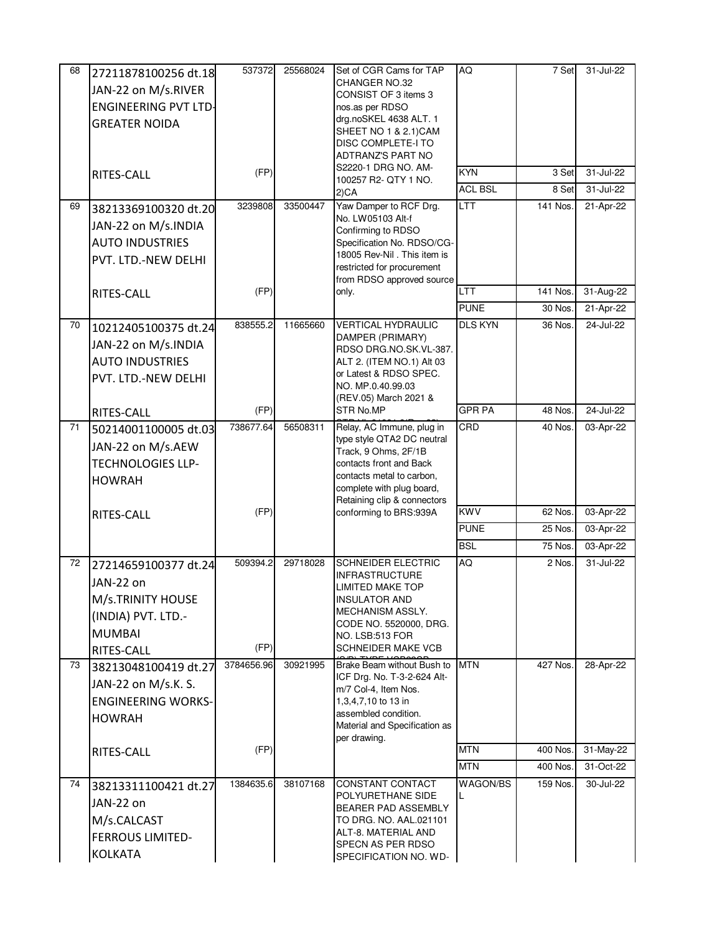| 68 | 27211878100256 dt.18        | 537372     | 25568024 | Set of CGR Cams for TAP                                    | AQ             | 7 Set    | 31-Jul-22 |
|----|-----------------------------|------------|----------|------------------------------------------------------------|----------------|----------|-----------|
|    | JAN-22 on M/s.RIVER         |            |          | CHANGER NO.32<br>CONSIST OF 3 items 3                      |                |          |           |
|    | <b>ENGINEERING PVT LTD-</b> |            |          | nos.as per RDSO                                            |                |          |           |
|    | <b>GREATER NOIDA</b>        |            |          | drg.noSKEL 4638 ALT. 1                                     |                |          |           |
|    |                             |            |          | SHEET NO 1 & 2.1)CAM<br>DISC COMPLETE-I TO                 |                |          |           |
|    |                             |            |          | ADTRANZ'S PART NO                                          |                |          |           |
|    | RITES-CALL                  | (FP)       |          | S2220-1 DRG NO. AM-                                        | <b>KYN</b>     | 3 Set    | 31-Jul-22 |
|    |                             |            |          | 100257 R2- QTY 1 NO.<br>2)CA                               | <b>ACL BSL</b> | 8 Set    | 31-Jul-22 |
| 69 | 38213369100320 dt.20        | 3239808    | 33500447 | Yaw Damper to RCF Drg.                                     | <b>LTT</b>     | 141 Nos. | 21-Apr-22 |
|    |                             |            |          | No. LW05103 Alt-f                                          |                |          |           |
|    | JAN-22 on M/s.INDIA         |            |          | Confirming to RDSO                                         |                |          |           |
|    | <b>AUTO INDUSTRIES</b>      |            |          | Specification No. RDSO/CG-<br>18005 Rev-Nil . This item is |                |          |           |
|    | PVT. LTD.-NEW DELHI         |            |          | restricted for procurement                                 |                |          |           |
|    |                             | (FP)       |          | from RDSO approved source<br>only.                         | <b>LTT</b>     | 141 Nos. | 31-Aug-22 |
|    | RITES-CALL                  |            |          |                                                            | <b>PUNE</b>    | 30 Nos.  |           |
|    |                             |            |          | <b>VERTICAL HYDRAULIC</b>                                  |                |          | 21-Apr-22 |
| 70 | 10212405100375 dt.24        | 838555.2   | 11665660 | DAMPER (PRIMARY)                                           | <b>DLS KYN</b> | 36 Nos.  | 24-Jul-22 |
|    | JAN-22 on M/s.INDIA         |            |          | RDSO DRG.NO.SK.VL-387.                                     |                |          |           |
|    | <b>AUTO INDUSTRIES</b>      |            |          | ALT 2. (ITEM NO.1) Alt 03                                  |                |          |           |
|    | PVT. LTD.-NEW DELHI         |            |          | or Latest & RDSO SPEC.<br>NO. MP.0.40.99.03                |                |          |           |
|    |                             |            |          | (REV.05) March 2021 &                                      |                |          |           |
|    | RITES-CALL                  | (FP)       |          | STR No.MP                                                  | <b>GPR PA</b>  | 48 Nos.  | 24-Jul-22 |
| 71 | 50214001100005 dt.03        | 738677.64  | 56508311 | Relay, AC Immune, plug in                                  | CRD            | 40 Nos.  | 03-Apr-22 |
|    | JAN-22 on M/s.AEW           |            |          | type style QTA2 DC neutral<br>Track, 9 Ohms, 2F/1B         |                |          |           |
|    | <b>TECHNOLOGIES LLP-</b>    |            |          | contacts front and Back                                    |                |          |           |
|    | <b>HOWRAH</b>               |            |          | contacts metal to carbon,                                  |                |          |           |
|    |                             |            |          | complete with plug board,<br>Retaining clip & connectors   |                |          |           |
|    | RITES-CALL                  | (FP)       |          | conforming to BRS:939A                                     | <b>KWV</b>     | 62 Nos.  | 03-Apr-22 |
|    |                             |            |          |                                                            | <b>PUNE</b>    | 25 Nos.  | 03-Apr-22 |
|    |                             |            |          |                                                            | <b>BSL</b>     | 75 Nos.  | 03-Apr-22 |
| 72 | 27214659100377 dt.24        | 509394.2   | 29718028 | <b>SCHNEIDER ELECTRIC</b>                                  | AQ             | 2 Nos.   | 31-Jul-22 |
|    | JAN-22 on                   |            |          | <b>INFRASTRUCTURE</b><br><b>LIMITED MAKE TOP</b>           |                |          |           |
|    | M/s.TRINITY HOUSE           |            |          | <b>INSULATOR AND</b>                                       |                |          |           |
|    | (INDIA) PVT. LTD.-          |            |          | MECHANISM ASSLY.                                           |                |          |           |
|    | <b>MUMBAI</b>               |            |          | CODE NO. 5520000, DRG.<br>NO. LSB:513 FOR                  |                |          |           |
|    | RITES-CALL                  | (FP)       |          | <b>SCHNEIDER MAKE VCB</b>                                  |                |          |           |
| 73 | 38213048100419 dt.27        | 3784656.96 | 30921995 | Brake Beam without Bush to                                 | <b>MTN</b>     | 427 Nos. | 28-Apr-22 |
|    | JAN-22 on M/s.K. S.         |            |          | ICF Drg. No. T-3-2-624 Alt-                                |                |          |           |
|    | <b>ENGINEERING WORKS-</b>   |            |          | m/7 Col-4, Item Nos.<br>1,3,4,7,10 to 13 in                |                |          |           |
|    | <b>HOWRAH</b>               |            |          | assembled condition.                                       |                |          |           |
|    |                             |            |          | Material and Specification as                              |                |          |           |
|    | RITES-CALL                  | (FP)       |          | per drawing.                                               | <b>MTN</b>     | 400 Nos. | 31-May-22 |
|    |                             |            |          |                                                            | <b>MTN</b>     | 400 Nos. | 31-Oct-22 |
| 74 | 38213311100421 dt.27        | 1384635.6  | 38107168 | CONSTANT CONTACT                                           | WAGON/BS       | 159 Nos. | 30-Jul-22 |
|    | JAN-22 on                   |            |          | POLYURETHANE SIDE                                          |                |          |           |
|    | M/s.CALCAST                 |            |          | BEARER PAD ASSEMBLY<br>TO DRG. NO. AAL.021101              |                |          |           |
|    | <b>FERROUS LIMITED-</b>     |            |          | ALT-8. MATERIAL AND                                        |                |          |           |
|    | <b>KOLKATA</b>              |            |          | SPECN AS PER RDSO                                          |                |          |           |
|    |                             |            |          | SPECIFICATION NO. WD-                                      |                |          |           |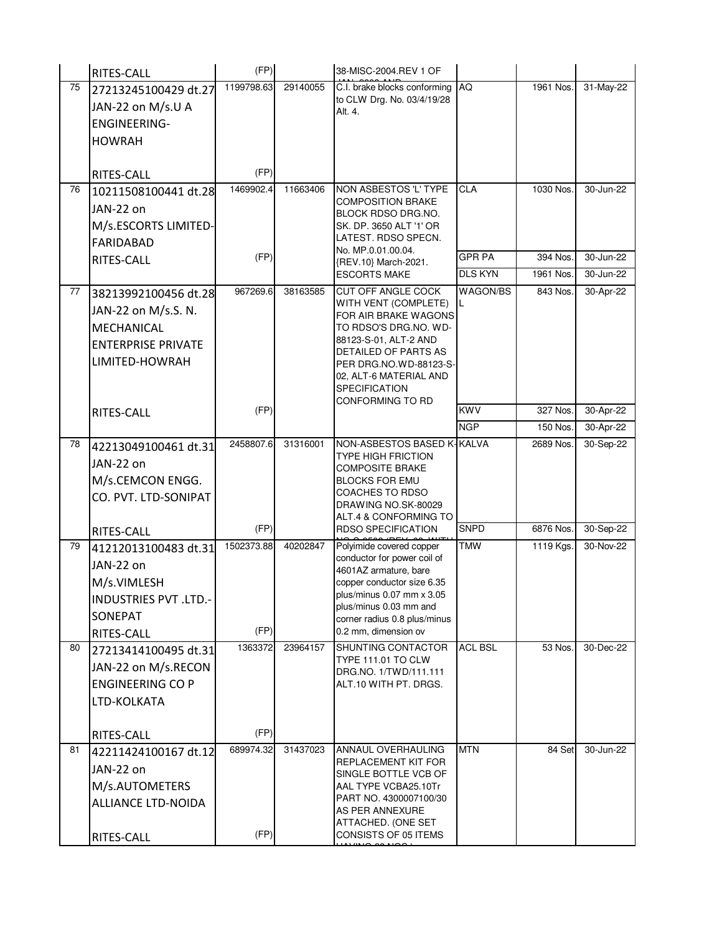|    | RITES-CALL                   | (FP)       |          | 38-MISC-2004.REV 1 OF                                  |                |           |           |
|----|------------------------------|------------|----------|--------------------------------------------------------|----------------|-----------|-----------|
| 75 | 27213245100429 dt.27         | 1199798.63 | 29140055 | C.I. brake blocks conforming                           | AQ             | 1961 Nos. | 31-May-22 |
|    | JAN-22 on M/s.U A            |            |          | to CLW Drg. No. 03/4/19/28<br>Alt. 4.                  |                |           |           |
|    | <b>ENGINEERING-</b>          |            |          |                                                        |                |           |           |
|    | <b>HOWRAH</b>                |            |          |                                                        |                |           |           |
|    |                              |            |          |                                                        |                |           |           |
|    | RITES-CALL                   | (FP)       |          |                                                        |                |           |           |
| 76 | 10211508100441 dt.28         | 1469902.4  | 11663406 | NON ASBESTOS 'L' TYPE                                  | <b>CLA</b>     | 1030 Nos. | 30-Jun-22 |
|    | JAN-22 on                    |            |          | <b>COMPOSITION BRAKE</b><br>BLOCK RDSO DRG.NO.         |                |           |           |
|    | M/s.ESCORTS LIMITED-         |            |          | SK. DP. 3650 ALT '1' OR                                |                |           |           |
|    | <b>FARIDABAD</b>             |            |          | LATEST. RDSO SPECN.                                    |                |           |           |
|    | RITES-CALL                   | (FP)       |          | No. MP.0.01.00.04.<br>{REV.10} March-2021.             | <b>GPR PA</b>  | 394 Nos.  | 30-Jun-22 |
|    |                              |            |          | <b>ESCORTS MAKE</b>                                    | <b>DLS KYN</b> | 1961 Nos. | 30-Jun-22 |
| 77 | 38213992100456 dt.28         | 967269.6   | 38163585 | <b>CUT OFF ANGLE COCK</b>                              | WAGON/BS       | 843 Nos.  | 30-Apr-22 |
|    | JAN-22 on M/s.S. N.          |            |          | WITH VENT (COMPLETE)<br>FOR AIR BRAKE WAGONS           | L              |           |           |
|    | MECHANICAL                   |            |          | TO RDSO'S DRG.NO. WD-                                  |                |           |           |
|    | <b>ENTERPRISE PRIVATE</b>    |            |          | 88123-S-01, ALT-2 AND                                  |                |           |           |
|    | LIMITED-HOWRAH               |            |          | DETAILED OF PARTS AS<br>PER DRG.NO.WD-88123-S-         |                |           |           |
|    |                              |            |          | 02, ALT-6 MATERIAL AND                                 |                |           |           |
|    |                              |            |          | <b>SPECIFICATION</b><br>CONFORMING TO RD               |                |           |           |
|    | RITES-CALL                   | (FP)       |          |                                                        | <b>KWV</b>     | 327 Nos.  | 30-Apr-22 |
|    |                              |            |          |                                                        | <b>NGP</b>     | 150 Nos.  | 30-Apr-22 |
| 78 | 42213049100461 dt.31         | 2458807.6  | 31316001 | NON-ASBESTOS BASED K-KALVA                             |                | 2689 Nos. | 30-Sep-22 |
|    | JAN-22 on                    |            |          | <b>TYPE HIGH FRICTION</b><br><b>COMPOSITE BRAKE</b>    |                |           |           |
|    | M/s.CEMCON ENGG.             |            |          | <b>BLOCKS FOR EMU</b>                                  |                |           |           |
|    | CO. PVT. LTD-SONIPAT         |            |          | <b>COACHES TO RDSO</b><br>DRAWING NO.SK-80029          |                |           |           |
|    |                              |            |          | ALT.4 & CONFORMING TO                                  |                |           |           |
|    | RITES-CALL                   | (FP)       |          | <b>RDSO SPECIFICATION</b>                              | <b>SNPD</b>    | 6876 Nos. | 30-Sep-22 |
| 79 | 41212013100483 dt.31         | 1502373.88 | 40202847 | Polyimide covered copper                               | <b>TMW</b>     | 1119 Kgs. | 30-Nov-22 |
|    | JAN-22 on                    |            |          | conductor for power coil of<br>4601AZ armature, bare   |                |           |           |
|    | M/s.VIMLESH                  |            |          | copper conductor size 6.35                             |                |           |           |
|    | <b>INDUSTRIES PVT .LTD.-</b> |            |          | plus/minus 0.07 mm x 3.05                              |                |           |           |
|    | SONEPAT                      |            |          | plus/minus 0.03 mm and<br>corner radius 0.8 plus/minus |                |           |           |
|    | RITES-CALL                   | (FP)       |          | 0.2 mm, dimension ov                                   |                |           |           |
| 80 | 27213414100495 dt.31         | 1363372    | 23964157 | SHUNTING CONTACTOR                                     | <b>ACL BSL</b> | 53 Nos.   | 30-Dec-22 |
|    | JAN-22 on M/s.RECON          |            |          | <b>TYPE 111.01 TO CLW</b><br>DRG.NO. 1/TWD/111.111     |                |           |           |
|    | <b>ENGINEERING CO P</b>      |            |          | ALT.10 WITH PT. DRGS.                                  |                |           |           |
|    | LTD-KOLKATA                  |            |          |                                                        |                |           |           |
|    |                              |            |          |                                                        |                |           |           |
|    | RITES-CALL                   | (FP)       |          |                                                        |                |           |           |
| 81 | 42211424100167 dt.12         | 689974.32  | 31437023 | ANNAUL OVERHAULING                                     | <b>MTN</b>     | 84 Set    | 30-Jun-22 |
|    | JAN-22 on                    |            |          | REPLACEMENT KIT FOR<br>SINGLE BOTTLE VCB OF            |                |           |           |
|    | M/s.AUTOMETERS               |            |          | AAL TYPE VCBA25.10Tr                                   |                |           |           |
|    | ALLIANCE LTD-NOIDA           |            |          | PART NO. 4300007100/30<br>AS PER ANNEXURE              |                |           |           |
|    |                              |            |          | ATTACHED. (ONE SET                                     |                |           |           |
|    | RITES-CALL                   | (FP)       |          | CONSISTS OF 05 ITEMS                                   |                |           |           |

HAVING 23 NOS.)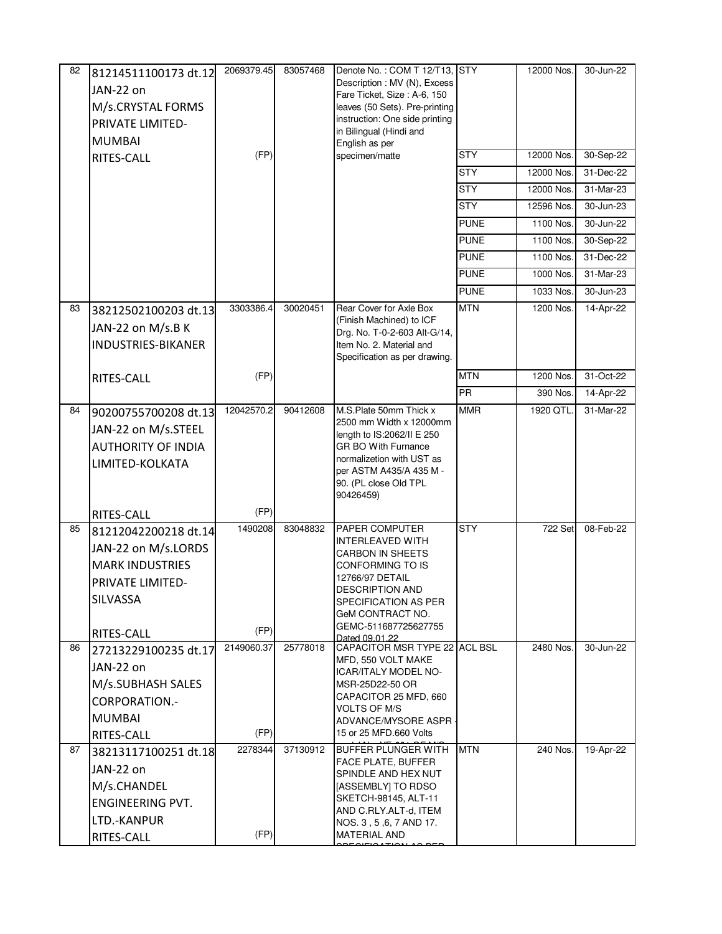| 82 | 81214511100173 dt.12<br>JAN-22 on<br>M/s.CRYSTAL FORMS<br>PRIVATE LIMITED-<br><b>MUMBAI</b><br>RITES-CALL           | 2069379.45<br>(FP) | 83057468 | Denote No.: COM T 12/T13, STY<br>Description : MV (N), Excess<br>Fare Ticket, Size: A-6, 150<br>leaves (50 Sets). Pre-printing<br>instruction: One side printing<br>in Bilingual (Hindi and<br>English as per<br>specimen/matte    | <b>STY</b><br><b>STY</b><br><b>STY</b><br><b>STY</b><br><b>PUNE</b><br><b>PUNE</b><br><b>PUNE</b><br><b>PUNE</b><br><b>PUNE</b> | 12000 Nos.<br>12000 Nos.<br>12000 Nos.<br>12000 Nos.<br>12596 Nos.<br>1100 Nos.<br>1100 Nos.<br>1100 Nos.<br>1000 Nos.<br>1033 Nos. | 30-Jun-22<br>30-Sep-22<br>31-Dec-22<br>31-Mar-23<br>30-Jun-23<br>30-Jun-22<br>30-Sep-22<br>31-Dec-22<br>31-Mar-23<br>30-Jun-23 |
|----|---------------------------------------------------------------------------------------------------------------------|--------------------|----------|------------------------------------------------------------------------------------------------------------------------------------------------------------------------------------------------------------------------------------|---------------------------------------------------------------------------------------------------------------------------------|-------------------------------------------------------------------------------------------------------------------------------------|--------------------------------------------------------------------------------------------------------------------------------|
| 83 | 38212502100203 dt.13<br>JAN-22 on M/s.B K<br><b>INDUSTRIES-BIKANER</b>                                              | 3303386.4          | 30020451 | Rear Cover for Axle Box<br>(Finish Machined) to ICF<br>Drg. No. T-0-2-603 Alt-G/14,<br>Item No. 2. Material and<br>Specification as per drawing.                                                                                   | <b>MTN</b>                                                                                                                      | 1200 Nos.                                                                                                                           | 14-Apr-22                                                                                                                      |
|    | RITES-CALL                                                                                                          | (FP)               |          |                                                                                                                                                                                                                                    | <b>MTN</b>                                                                                                                      | 1200 Nos.                                                                                                                           | 31-Oct-22                                                                                                                      |
|    |                                                                                                                     |                    |          |                                                                                                                                                                                                                                    | <b>PR</b>                                                                                                                       | 390 Nos.                                                                                                                            | 14-Apr-22                                                                                                                      |
| 84 | 90200755700208 dt.13<br>JAN-22 on M/s.STEEL<br><b>AUTHORITY OF INDIA</b><br>LIMITED-KOLKATA                         | 12042570.2         | 90412608 | M.S.Plate 50mm Thick x<br>2500 mm Width x 12000mm<br>length to IS:2062/II E 250<br><b>GR BO With Furnance</b><br>normalizetion with UST as<br>per ASTM A435/A 435 M -<br>90. (PL close Old TPL<br>90426459)                        | <b>MMR</b>                                                                                                                      | 1920 QTL.                                                                                                                           | 31-Mar-22                                                                                                                      |
|    | RITES-CALL                                                                                                          | (FP)               |          |                                                                                                                                                                                                                                    |                                                                                                                                 |                                                                                                                                     |                                                                                                                                |
| 85 | 81212042200218 dt.14<br>JAN-22 on M/s.LORDS<br><b>MARK INDUSTRIES</b><br>PRIVATE LIMITED-<br>SILVASSA<br>RITES-CALL | 1490208<br>(FP)    | 83048832 | <b>PAPER COMPUTER</b><br><b>INTERLEAVED WITH</b><br><b>CARBON IN SHEETS</b><br>CONFORMING TO IS<br>12766/97 DETAIL<br><b>DESCRIPTION AND</b><br>SPECIFICATION AS PER<br>GeM CONTRACT NO.<br>GEMC-511687725627755<br>Dated 09 01 22 | <b>STY</b>                                                                                                                      | 722 Set                                                                                                                             | 08-Feb-22                                                                                                                      |
| 86 | 27213229100235 dt.17                                                                                                | 2149060.37         | 25778018 | CAPACITOR MSR TYPE 22 ACL BSL<br>MFD, 550 VOLT MAKE                                                                                                                                                                                |                                                                                                                                 | 2480 Nos.                                                                                                                           | 30-Jun-22                                                                                                                      |
|    | JAN-22 on<br>M/s.SUBHASH SALES<br><b>CORPORATION.-</b><br><b>MUMBAI</b><br>RITES-CALL                               | (FP)               |          | <b>ICAR/ITALY MODEL NO-</b><br>MSR-25D22-50 OR<br>CAPACITOR 25 MFD, 660<br><b>VOLTS OF M/S</b><br>ADVANCE/MYSORE ASPR<br>15 or 25 MFD.660 Volts                                                                                    |                                                                                                                                 |                                                                                                                                     |                                                                                                                                |
| 87 | 38213117100251 dt.18<br>JAN-22 on<br>M/s.CHANDEL<br><b>ENGINEERING PVT.</b><br>LTD.-KANPUR<br>RITES-CALL            | 2278344<br>(FP)    | 37130912 | BUFFER PLUNGER WITH<br>FACE PLATE, BUFFER<br>SPINDLE AND HEX NUT<br>[ASSEMBLY] TO RDSO<br>SKETCH-98145, ALT-11<br>AND C.RLY.ALT-d, ITEM<br>NOS. 3, 5, 6, 7 AND 17.<br><b>MATERIAL AND</b>                                          | <b>MTN</b>                                                                                                                      | 240 Nos.                                                                                                                            | 19-Apr-22                                                                                                                      |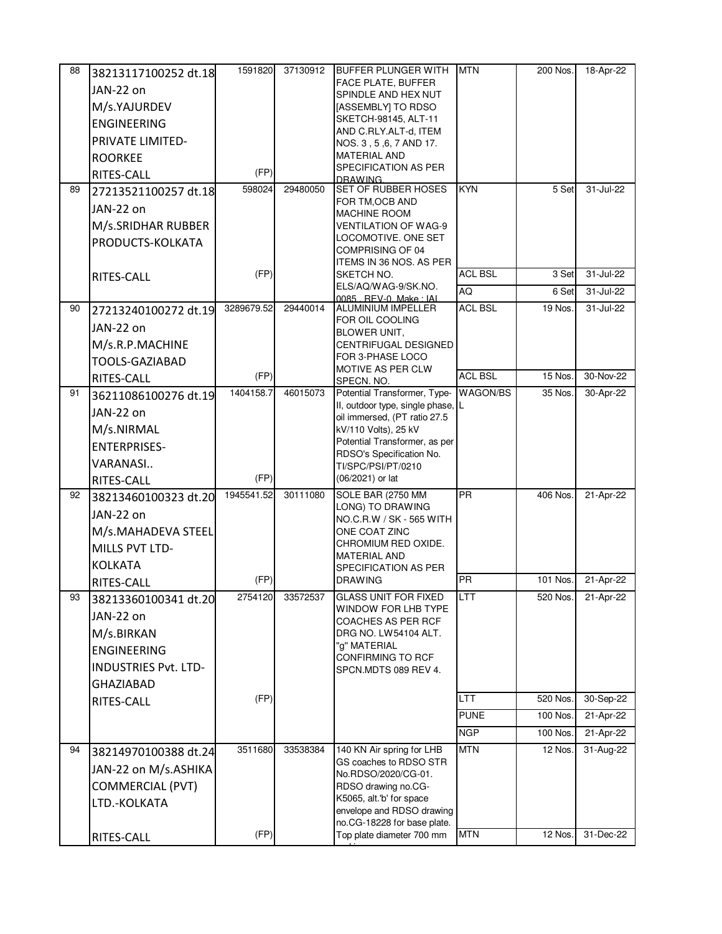| 88 | 38213117100252 dt.18        | 1591820    | 37130912 | <b>BUFFER PLUNGER WITH</b>                                        | <b>MTN</b>     | 200 Nos. | 18-Apr-22 |
|----|-----------------------------|------------|----------|-------------------------------------------------------------------|----------------|----------|-----------|
|    | JAN-22 on                   |            |          | FACE PLATE, BUFFER<br>SPINDLE AND HEX NUT                         |                |          |           |
|    | M/s.YAJURDEV                |            |          | [ASSEMBLY] TO RDSO                                                |                |          |           |
|    | <b>ENGINEERING</b>          |            |          | SKETCH-98145, ALT-11                                              |                |          |           |
|    | PRIVATE LIMITED-            |            |          | AND C.RLY.ALT-d, ITEM                                             |                |          |           |
|    | <b>ROORKEE</b>              |            |          | NOS. 3, 5, 6, 7 AND 17.<br><b>MATERIAL AND</b>                    |                |          |           |
|    | RITES-CALL                  | (FP)       |          | SPECIFICATION AS PER                                              |                |          |           |
| 89 | 27213521100257 dt.18        | 598024     | 29480050 | DRAWING.<br><b>SET OF RUBBER HOSES</b>                            | <b>KYN</b>     | 5 Set    | 31-Jul-22 |
|    | JAN-22 on                   |            |          | FOR TM, OCB AND                                                   |                |          |           |
|    |                             |            |          | <b>MACHINE ROOM</b>                                               |                |          |           |
|    | M/s.SRIDHAR RUBBER          |            |          | <b>VENTILATION OF WAG-9</b><br>LOCOMOTIVE. ONE SET                |                |          |           |
|    | PRODUCTS-KOLKATA            |            |          | COMPRISING OF 04                                                  |                |          |           |
|    |                             |            |          | ITEMS IN 36 NOS. AS PER                                           |                |          |           |
|    | RITES-CALL                  | (FP)       |          | SKETCH NO.<br>ELS/AQ/WAG-9/SK.NO.                                 | <b>ACL BSL</b> | 3 Set    | 31-Jul-22 |
|    |                             |            |          | 0085 REV-0 Make LAL                                               | AQ             | 6 Set    | 31-Jul-22 |
| 90 | 27213240100272 dt.19        | 3289679.52 | 29440014 | <b>ALUMINIUM IMPELLER</b><br>FOR OIL COOLING                      | <b>ACL BSL</b> | 19 Nos.  | 31-Jul-22 |
|    | JAN-22 on                   |            |          | <b>BLOWER UNIT,</b>                                               |                |          |           |
|    | M/s.R.P.MACHINE             |            |          | <b>CENTRIFUGAL DESIGNED</b>                                       |                |          |           |
|    | TOOLS-GAZIABAD              |            |          | FOR 3-PHASE LOCO<br>MOTIVE AS PER CLW                             |                |          |           |
|    | RITES-CALL                  | (FP)       |          | SPECN. NO.                                                        | <b>ACL BSL</b> | 15 Nos.  | 30-Nov-22 |
| 91 | 36211086100276 dt.19        | 1404158.7  | 46015073 | Potential Transformer, Type-                                      | WAGON/BS       | 35 Nos.  | 30-Apr-22 |
|    | JAN-22 on                   |            |          | II, outdoor type, single phase, L<br>oil immersed, (PT ratio 27.5 |                |          |           |
|    | M/s.NIRMAL                  |            |          | kV/110 Volts), 25 kV                                              |                |          |           |
|    | <b>ENTERPRISES-</b>         |            |          | Potential Transformer, as per                                     |                |          |           |
|    | VARANASI                    |            |          | RDSO's Specification No.<br>TI/SPC/PSI/PT/0210                    |                |          |           |
|    | RITES-CALL                  | (FP)       |          | (06/2021) or lat                                                  |                |          |           |
| 92 | 38213460100323 dt.20        | 1945541.52 | 30111080 | SOLE BAR (2750 MM                                                 | <b>PR</b>      | 406 Nos. | 21-Apr-22 |
|    | JAN-22 on                   |            |          | LONG) TO DRAWING<br>NO.C.R.W / SK - 565 WITH                      |                |          |           |
|    | M/s.MAHADEVA STEEL          |            |          | ONE COAT ZINC                                                     |                |          |           |
|    | MILLS PVT LTD-              |            |          | CHROMIUM RED OXIDE.                                               |                |          |           |
|    | <b>KOLKATA</b>              |            |          | <b>MATERIAL AND</b><br>SPECIFICATION AS PER                       |                |          |           |
|    | RITES-CALL                  | (FP)       |          | <b>DRAWING</b>                                                    | <b>PR</b>      | 101 Nos. | 21-Apr-22 |
| 93 | 38213360100341 dt.20        | 2754120    | 33572537 | <b>GLASS UNIT FOR FIXED</b>                                       | LTT            | 520 Nos. | 21-Apr-22 |
|    | JAN-22 on                   |            |          | WINDOW FOR LHB TYPE                                               |                |          |           |
|    | M/s.BIRKAN                  |            |          | COACHES AS PER RCF<br>DRG NO. LW54104 ALT.                        |                |          |           |
|    | <b>ENGINEERING</b>          |            |          | "g" MATERIAL                                                      |                |          |           |
|    |                             |            |          | <b>CONFIRMING TO RCF</b>                                          |                |          |           |
|    | <b>INDUSTRIES Pvt. LTD-</b> |            |          | SPCN.MDTS 089 REV 4.                                              |                |          |           |
|    | <b>GHAZIABAD</b>            | (FP)       |          |                                                                   | <b>LTT</b>     | 520 Nos. | 30-Sep-22 |
|    | RITES-CALL                  |            |          |                                                                   | <b>PUNE</b>    | 100 Nos. | 21-Apr-22 |
|    |                             |            |          |                                                                   | <b>NGP</b>     | 100 Nos. | 21-Apr-22 |
| 94 |                             | 3511680    | 33538384 | 140 KN Air spring for LHB                                         | <b>MTN</b>     | 12 Nos.  | 31-Aug-22 |
|    | 38214970100388 dt.24        |            |          | GS coaches to RDSO STR                                            |                |          |           |
|    | JAN-22 on M/s.ASHIKA        |            |          | No.RDSO/2020/CG-01.                                               |                |          |           |
|    | <b>COMMERCIAL (PVT)</b>     |            |          | RDSO drawing no.CG-<br>K5065, alt.'b' for space                   |                |          |           |
|    | LTD.-KOLKATA                |            |          | envelope and RDSO drawing                                         |                |          |           |
|    |                             |            |          | no.CG-18228 for base plate.                                       |                |          |           |
|    | RITES-CALL                  | (FP)       |          | Top plate diameter 700 mm                                         | <b>MTN</b>     | 12 Nos.  | 31-Dec-22 |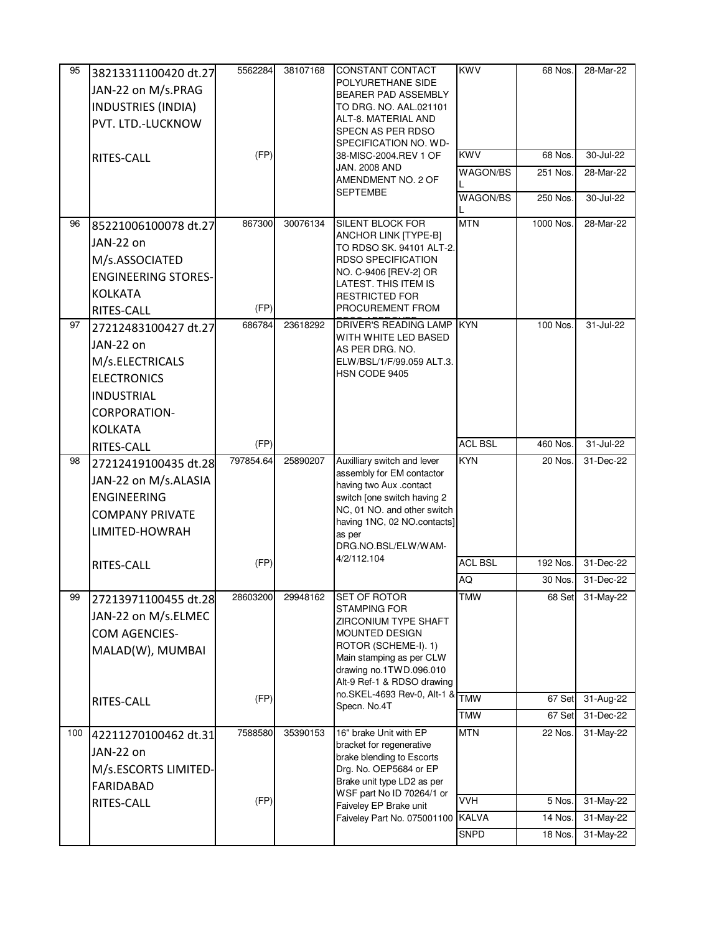| 95  | 38213311100420 dt.27       | 5562284   | 38107168 | <b>CONSTANT CONTACT</b>                                    | <b>KWV</b>     | 68 Nos.   | 28-Mar-22 |
|-----|----------------------------|-----------|----------|------------------------------------------------------------|----------------|-----------|-----------|
|     | JAN-22 on M/s.PRAG         |           |          | POLYURETHANE SIDE                                          |                |           |           |
|     | <b>INDUSTRIES (INDIA)</b>  |           |          | <b>BEARER PAD ASSEMBLY</b><br>TO DRG. NO. AAL.021101       |                |           |           |
|     |                            |           |          | ALT-8. MATERIAL AND                                        |                |           |           |
|     | PVT. LTD.-LUCKNOW          |           |          | SPECN AS PER RDSO                                          |                |           |           |
|     |                            | (FP)      |          | SPECIFICATION NO. WD-<br>38-MISC-2004.REV 1 OF             | <b>KWV</b>     | 68 Nos.   | 30-Jul-22 |
|     | <b>RITES-CALL</b>          |           |          | <b>JAN. 2008 AND</b>                                       | WAGON/BS       | 251 Nos.  | 28-Mar-22 |
|     |                            |           |          | AMENDMENT NO. 2 OF<br><b>SEPTEMBE</b>                      |                |           |           |
|     |                            |           |          |                                                            | WAGON/BS       | 250 Nos.  | 30-Jul-22 |
| 96  | 85221006100078 dt.27       | 867300    | 30076134 | <b>SILENT BLOCK FOR</b>                                    | <b>MTN</b>     | 1000 Nos. | 28-Mar-22 |
|     | JAN-22 on                  |           |          | ANCHOR LINK [TYPE-B]<br>TO RDSO SK. 94101 ALT-2.           |                |           |           |
|     | M/s.ASSOCIATED             |           |          | <b>RDSO SPECIFICATION</b>                                  |                |           |           |
|     | <b>ENGINEERING STORES-</b> |           |          | NO. C-9406 [REV-2] OR                                      |                |           |           |
|     | <b>KOLKATA</b>             |           |          | LATEST. THIS ITEM IS<br><b>RESTRICTED FOR</b>              |                |           |           |
|     | RITES-CALL                 | (FP)      |          | PROCUREMENT FROM                                           |                |           |           |
| 97  | 27212483100427 dt.27       | 686784    | 23618292 | <b>DRIVER'S READING LAMP</b>                               | <b>KYN</b>     | 100 Nos.  | 31-Jul-22 |
|     | JAN-22 on                  |           |          | WITH WHITE LED BASED<br>AS PER DRG. NO.                    |                |           |           |
|     | M/s.ELECTRICALS            |           |          | ELW/BSL/1/F/99.059 ALT.3.                                  |                |           |           |
|     | <b>ELECTRONICS</b>         |           |          | HSN CODE 9405                                              |                |           |           |
|     | <b>INDUSTRIAL</b>          |           |          |                                                            |                |           |           |
|     | <b>CORPORATION-</b>        |           |          |                                                            |                |           |           |
|     | <b>KOLKATA</b>             |           |          |                                                            |                |           |           |
|     | RITES-CALL                 | (FP)      |          |                                                            | <b>ACL BSL</b> | 460 Nos.  | 31-Jul-22 |
|     |                            | 797854.64 | 25890207 | Auxilliary switch and lever                                | <b>KYN</b>     | 20 Nos.   | 31-Dec-22 |
| 98  |                            |           |          |                                                            |                |           |           |
|     | 27212419100435 dt.28       |           |          | assembly for EM contactor                                  |                |           |           |
|     | JAN-22 on M/s.ALASIA       |           |          | having two Aux .contact                                    |                |           |           |
|     | <b>ENGINEERING</b>         |           |          | switch [one switch having 2<br>NC, 01 NO. and other switch |                |           |           |
|     | <b>COMPANY PRIVATE</b>     |           |          | having 1NC, 02 NO.contacts]                                |                |           |           |
|     | LIMITED-HOWRAH             |           |          | as per<br>DRG.NO.BSL/ELW/WAM-                              |                |           |           |
|     | RITES-CALL                 | (FP)      |          | 4/2/112.104                                                | <b>ACL BSL</b> | 192 Nos.  | 31-Dec-22 |
|     |                            |           |          |                                                            | AQ             | 30 Nos.   | 31-Dec-22 |
| 99  | 27213971100455 dt.28       | 28603200  | 29948162 | <b>SET OF ROTOR</b>                                        | <b>TMW</b>     | 68 Set    | 31-May-22 |
|     | JAN-22 on M/s.ELMEC        |           |          | <b>STAMPING FOR</b>                                        |                |           |           |
|     |                            |           |          | ZIRCONIUM TYPE SHAFT<br><b>MOUNTED DESIGN</b>              |                |           |           |
|     | COM AGENCIES-              |           |          | ROTOR (SCHEME-I). 1)                                       |                |           |           |
|     | MALAD(W), MUMBAI           |           |          | Main stamping as per CLW                                   |                |           |           |
|     |                            |           |          | drawing no.1TWD.096.010<br>Alt-9 Ref-1 & RDSO drawing      |                |           |           |
|     |                            | (FP)      |          | no.SKEL-4693 Rev-0, Alt-1 &                                | <b>TMW</b>     | 67 Set    | 31-Aug-22 |
|     | RITES-CALL                 |           |          | Specn. No.4T                                               | <b>TMW</b>     | 67 Set    | 31-Dec-22 |
| 100 | 42211270100462 dt.31       | 7588580   | 35390153 | 16" brake Unit with EP                                     | <b>MTN</b>     | 22 Nos.   | 31-May-22 |
|     | JAN-22 on                  |           |          | bracket for regenerative                                   |                |           |           |
|     | M/s.ESCORTS LIMITED-       |           |          | brake blending to Escorts<br>Drg. No. OEP5684 or EP        |                |           |           |
|     | <b>FARIDABAD</b>           |           |          | Brake unit type LD2 as per                                 |                |           |           |
|     | RITES-CALL                 | (FP)      |          | WSF part No ID 70264/1 or                                  | <b>VVH</b>     | 5 Nos.    | 31-May-22 |
|     |                            |           |          | Faiveley EP Brake unit<br>Faiveley Part No. 075001100      | <b>KALVA</b>   | 14 Nos.   | 31-May-22 |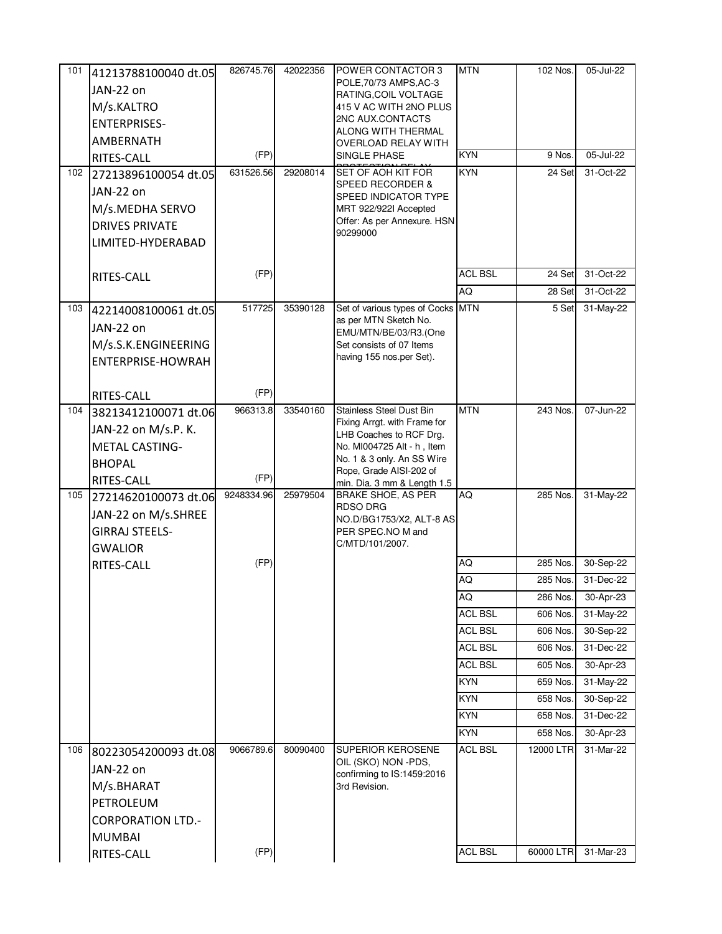| 101 | 41213788100040 dt.05        | 826745.76  | 42022356 | POWER CONTACTOR 3                                               | <b>MTN</b>     | 102 Nos.  | 05-Jul-22               |
|-----|-----------------------------|------------|----------|-----------------------------------------------------------------|----------------|-----------|-------------------------|
|     | JAN-22 on                   |            |          | POLE.70/73 AMPS.AC-3                                            |                |           |                         |
|     | M/s.KALTRO                  |            |          | RATING, COIL VOLTAGE<br>415 V AC WITH 2NO PLUS                  |                |           |                         |
|     |                             |            |          | 2NC AUX.CONTACTS                                                |                |           |                         |
|     | <b>ENTERPRISES-</b>         |            |          | ALONG WITH THERMAL                                              |                |           |                         |
|     | AMBERNATH                   |            |          | OVERLOAD RELAY WITH                                             |                |           |                         |
|     | <b>RITES-CALL</b>           | (FP)       |          | SINGLE PHASE                                                    | <b>KYN</b>     | 9 Nos.    | 05-Jul-22               |
| 102 | 27213896100054 dt.05        | 631526.56  | 29208014 | <b>SET OF AOH KIT FOR</b><br><b>SPEED RECORDER &amp;</b>        | <b>KYN</b>     | 24 Set    | 31-Oct-22               |
|     | JAN-22 on                   |            |          | SPEED INDICATOR TYPE                                            |                |           |                         |
|     | M/s.MEDHA SERVO             |            |          | MRT 922/922I Accepted                                           |                |           |                         |
|     | <b>DRIVES PRIVATE</b>       |            |          | Offer: As per Annexure. HSN                                     |                |           |                         |
|     | LIMITED-HYDERABAD           |            |          | 90299000                                                        |                |           |                         |
|     |                             |            |          |                                                                 |                |           |                         |
|     | RITES-CALL                  | (FP)       |          |                                                                 | <b>ACL BSL</b> | 24 Set    | 31-Oct-22               |
|     |                             |            |          |                                                                 | AQ             | 28 Set    | 31-Oct-22               |
| 103 | 42214008100061 dt.05        | 517725     | 35390128 | Set of various types of Cocks MTN                               |                | 5 Set     | 31-May-22               |
|     |                             |            |          | as per MTN Sketch No.                                           |                |           |                         |
|     | JAN-22 on                   |            |          | EMU/MTN/BE/03/R3.(One                                           |                |           |                         |
|     | M/s.S.K.ENGINEERING         |            |          | Set consists of 07 Items<br>having 155 nos.per Set).            |                |           |                         |
|     | ENTERPRISE-HOWRAH           |            |          |                                                                 |                |           |                         |
|     |                             |            |          |                                                                 |                |           |                         |
|     | <b>RITES-CALL</b>           | (FP)       |          |                                                                 |                |           |                         |
| 104 | 38213412100071 dt.06        | 966313.8   | 33540160 | <b>Stainless Steel Dust Bin</b><br>Fixing Arrgt. with Frame for | <b>MTN</b>     | 243 Nos.  | 07-Jun-22               |
|     | JAN-22 on M/s.P. K.         |            |          | LHB Coaches to RCF Drg.                                         |                |           |                         |
|     | <b>METAL CASTING-</b>       |            |          | No. MI004725 Alt - h, Item                                      |                |           |                         |
|     | <b>BHOPAL</b>               |            |          | No. 1 & 3 only. An SS Wire                                      |                |           |                         |
|     | RITES-CALL                  | (FP)       |          | Rope, Grade AISI-202 of<br>min. Dia. 3 mm & Length 1.5          |                |           |                         |
| 105 | 27214620100073 dt.06        | 9248334.96 | 25979504 | BRAKE SHOE, AS PER                                              | AQ             | 285 Nos.  | 31-May-22               |
|     | JAN-22 on M/s.SHREE         |            |          | RDSO DRG                                                        |                |           |                         |
|     | <b>GIRRAJ STEELS-</b>       |            |          | NO.D/BG1753/X2, ALT-8 AS<br>PER SPEC.NO M and                   |                |           |                         |
|     |                             |            |          |                                                                 |                |           |                         |
|     |                             |            |          | C/MTD/101/2007.                                                 |                |           |                         |
|     | <b>GWALIOR</b>              |            |          |                                                                 |                |           |                         |
|     | RITES-CALL                  | (FP)       |          |                                                                 | <b>AQ</b>      | 285 Nos.  | 30-Sep-22               |
|     |                             |            |          |                                                                 | AQ             | 285 Nos.  | 31-Dec-22               |
|     |                             |            |          |                                                                 | <b>AQ</b>      | 286 Nos.  | 30-Apr-23               |
|     |                             |            |          |                                                                 | <b>ACL BSL</b> | 606 Nos.  | 31-May-22               |
|     |                             |            |          |                                                                 | <b>ACL BSL</b> | 606 Nos.  | 30-Sep-22               |
|     |                             |            |          |                                                                 | <b>ACL BSL</b> | 606 Nos   | 31-Dec-22               |
|     |                             |            |          |                                                                 | <b>ACL BSL</b> | 605 Nos.  | 30-Apr-23               |
|     |                             |            |          |                                                                 | <b>KYN</b>     | 659 Nos   | 31-May-22               |
|     |                             |            |          |                                                                 | <b>KYN</b>     | 658 Nos.  | 30-Sep-22               |
|     |                             |            |          |                                                                 | <b>KYN</b>     | 658 Nos   | 31-Dec-22               |
|     |                             |            |          |                                                                 | KYN            | 658 Nos.  | 30-Apr-23               |
| 106 | 80223054200093 dt.08        | 9066789.6  | 80090400 | <b>SUPERIOR KEROSENE</b>                                        | <b>ACL BSL</b> | 12000 LTR | 31-Mar-22               |
|     | JAN-22 on                   |            |          | OIL (SKO) NON -PDS,                                             |                |           |                         |
|     |                             |            |          | confirming to IS:1459:2016                                      |                |           |                         |
|     | M/s.BHARAT                  |            |          | 3rd Revision.                                                   |                |           |                         |
|     | PETROLEUM                   |            |          |                                                                 |                |           |                         |
|     | <b>CORPORATION LTD.-</b>    |            |          |                                                                 |                |           |                         |
|     | <b>MUMBAI</b><br>RITES-CALL | (FP)       |          |                                                                 | <b>ACL BSL</b> | 60000 LTR | $\overline{31}$ -Mar-23 |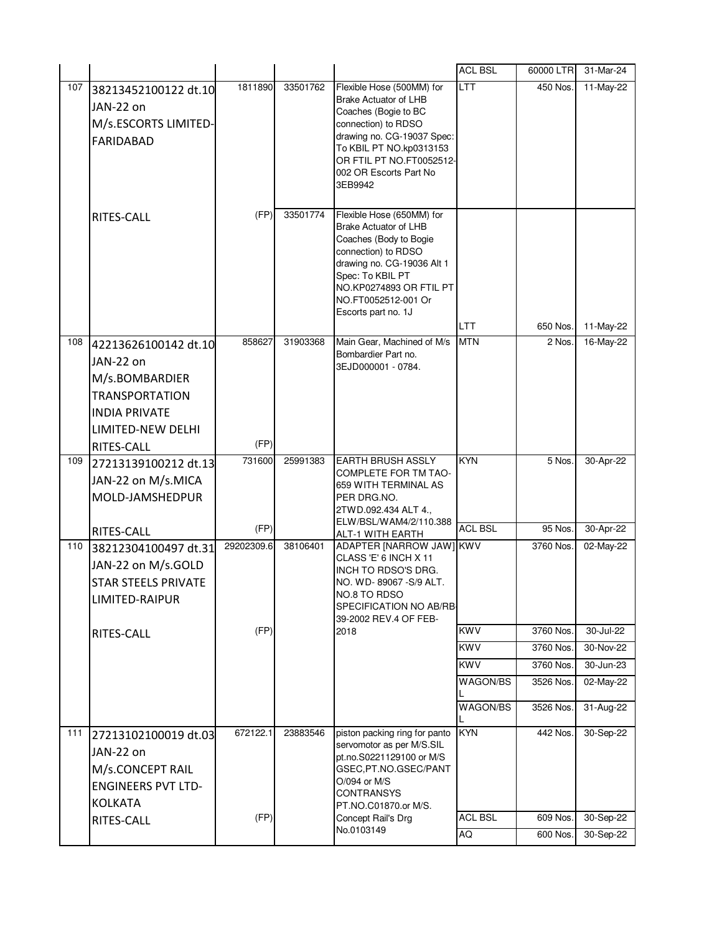|     |                            |            |          |                                                        | <b>ACL BSL</b> | 60000 LTR | 31-Mar-24 |
|-----|----------------------------|------------|----------|--------------------------------------------------------|----------------|-----------|-----------|
| 107 | 38213452100122 dt.10       | 1811890    | 33501762 | Flexible Hose (500MM) for                              | <b>LTT</b>     | 450 Nos.  | 11-May-22 |
|     | JAN-22 on                  |            |          | <b>Brake Actuator of LHB</b><br>Coaches (Bogie to BC   |                |           |           |
|     | M/s.ESCORTS LIMITED-       |            |          | connection) to RDSO                                    |                |           |           |
|     | <b>FARIDABAD</b>           |            |          | drawing no. CG-19037 Spec:                             |                |           |           |
|     |                            |            |          | To KBIL PT NO.kp0313153                                |                |           |           |
|     |                            |            |          | OR FTIL PT NO.FT0052512-<br>002 OR Escorts Part No     |                |           |           |
|     |                            |            |          | 3EB9942                                                |                |           |           |
|     |                            |            |          |                                                        |                |           |           |
|     | RITES-CALL                 | (FP)       | 33501774 | Flexible Hose (650MM) for                              |                |           |           |
|     |                            |            |          | <b>Brake Actuator of LHB</b><br>Coaches (Body to Bogie |                |           |           |
|     |                            |            |          | connection) to RDSO                                    |                |           |           |
|     |                            |            |          | drawing no. CG-19036 Alt 1                             |                |           |           |
|     |                            |            |          | Spec: To KBIL PT<br>NO.KP0274893 OR FTIL PT            |                |           |           |
|     |                            |            |          | NO.FT0052512-001 Or                                    |                |           |           |
|     |                            |            |          | Escorts part no. 1J                                    |                |           |           |
|     |                            |            |          |                                                        | LTT            | 650 Nos.  | 11-May-22 |
| 108 | 42213626100142 dt.10       | 858627     | 31903368 | Main Gear, Machined of M/s<br>Bombardier Part no.      | <b>MTN</b>     | 2 Nos.    | 16-May-22 |
|     | JAN-22 on                  |            |          | 3EJD000001 - 0784.                                     |                |           |           |
|     | M/s.BOMBARDIER             |            |          |                                                        |                |           |           |
|     | <b>TRANSPORTATION</b>      |            |          |                                                        |                |           |           |
|     | <b>INDIA PRIVATE</b>       |            |          |                                                        |                |           |           |
|     | LIMITED-NEW DELHI          |            |          |                                                        |                |           |           |
|     | RITES-CALL                 | (FP)       |          |                                                        |                |           |           |
|     |                            |            |          |                                                        | <b>KYN</b>     |           |           |
| 109 | 27213139100212 dt.13       | 731600     | 25991383 | <b>EARTH BRUSH ASSLY</b>                               |                | 5 Nos.    | 30-Apr-22 |
|     | JAN-22 on M/s.MICA         |            |          | <b>COMPLETE FOR TM TAO-</b><br>659 WITH TERMINAL AS    |                |           |           |
|     | MOLD-JAMSHEDPUR            |            |          | PER DRG.NO.                                            |                |           |           |
|     |                            |            |          | 2TWD.092.434 ALT 4.,                                   |                |           |           |
|     | RITES-CALL                 | (FP)       |          | ELW/BSL/WAM4/2/110.388<br>ALT-1 WITH EARTH             | <b>ACL BSL</b> | 95 Nos.   | 30-Apr-22 |
| 110 | 38212304100497 dt.31       | 29202309.6 | 38106401 | ADAPTER [NARROW JAW] KWV                               |                | 3760 Nos. | 02-May-22 |
|     | JAN-22 on M/s.GOLD         |            |          | CLASS 'E' 6 INCH X 11                                  |                |           |           |
|     | <b>STAR STEELS PRIVATE</b> |            |          | INCH TO RDSO'S DRG.<br>NO. WD-89067 - S/9 ALT.         |                |           |           |
|     | LIMITED-RAIPUR             |            |          | NO.8 TO RDSO                                           |                |           |           |
|     |                            |            |          | SPECIFICATION NO AB/RB<br>39-2002 REV.4 OF FEB-        |                |           |           |
|     | RITES-CALL                 | (FP)       |          | 2018                                                   | <b>KWV</b>     | 3760 Nos. | 30-Jul-22 |
|     |                            |            |          |                                                        | <b>KWV</b>     | 3760 Nos. | 30-Nov-22 |
|     |                            |            |          |                                                        | <b>KWV</b>     | 3760 Nos. | 30-Jun-23 |
|     |                            |            |          |                                                        | WAGON/BS       | 3526 Nos. | 02-May-22 |
|     |                            |            |          |                                                        | WAGON/BS       | 3526 Nos. | 31-Aug-22 |
|     |                            |            |          |                                                        |                |           |           |
| 111 | 27213102100019 dt.03       | 672122.1   | 23883546 | piston packing ring for panto                          | <b>KYN</b>     | 442 Nos.  | 30-Sep-22 |
|     | JAN-22 on                  |            |          | servomotor as per M/S.SIL<br>pt.no.S0221129100 or M/S  |                |           |           |
|     | M/s.CONCEPT RAIL           |            |          | GSEC, PT.NO.GSEC/PANT                                  |                |           |           |
|     | <b>ENGINEERS PVT LTD-</b>  |            |          | O/094 or M/S                                           |                |           |           |
|     | <b>KOLKATA</b>             |            |          | <b>CONTRANSYS</b><br>PT.NO.C01870.or M/S.              |                |           |           |
|     | RITES-CALL                 | (FP)       |          | Concept Rail's Drg<br>No.0103149                       | <b>ACL BSL</b> | 609 Nos.  | 30-Sep-22 |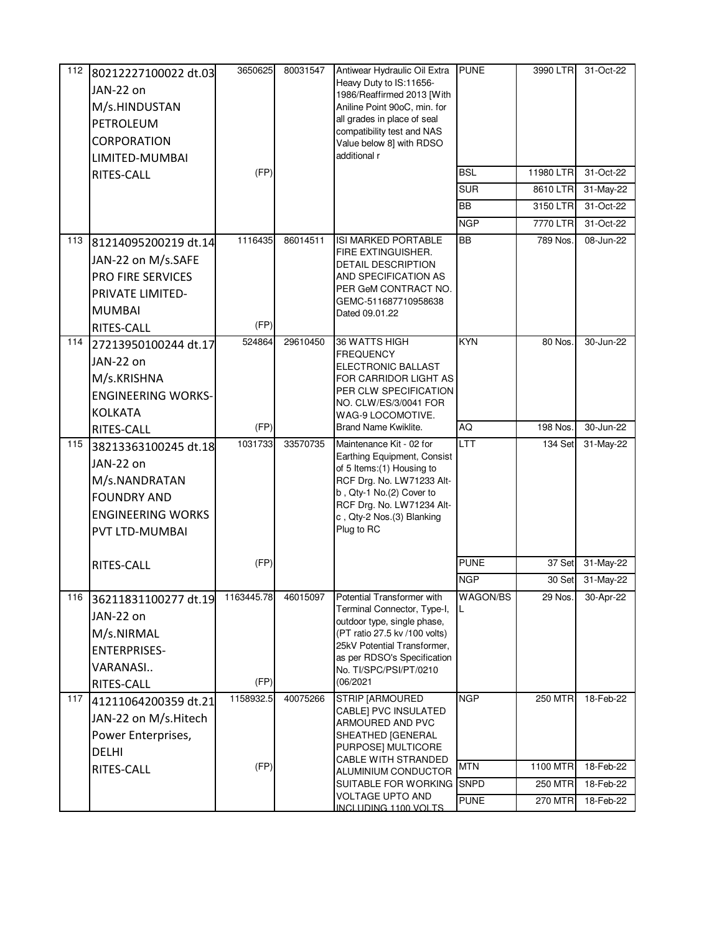| 112 | 80212227100022 dt.03<br>JAN-22 on<br>M/s.HINDUSTAN<br>PETROLEUM<br>CORPORATION<br>LIMITED-MUMBAI<br>RITES-CALL            | 3650625<br>(FP)    | 80031547 | Antiwear Hydraulic Oil Extra<br>Heavy Duty to IS:11656-<br>1986/Reaffirmed 2013 [With<br>Aniline Point 90oC, min. for<br>all grades in place of seal<br>compatibility test and NAS<br>Value below 8] with RDSO<br>additional r                     | <b>PUNE</b><br><b>BSL</b><br><b>SUR</b><br><b>BB</b><br><b>NGP</b> | 3990 LTR<br>11980 LTR<br>8610 LTR<br>3150 LTR<br>7770 LTR | 31-Oct-22<br>31-Oct-22<br>31-May-22<br>31-Oct-22<br>31-Oct-22 |
|-----|---------------------------------------------------------------------------------------------------------------------------|--------------------|----------|----------------------------------------------------------------------------------------------------------------------------------------------------------------------------------------------------------------------------------------------------|--------------------------------------------------------------------|-----------------------------------------------------------|---------------------------------------------------------------|
| 113 | 81214095200219 dt.14<br>JAN-22 on M/s.SAFE<br><b>PRO FIRE SERVICES</b><br>PRIVATE LIMITED-<br><b>MUMBAI</b><br>RITES-CALL | 1116435<br>(FP)    | 86014511 | <b>ISI MARKED PORTABLE</b><br>FIRE EXTINGUISHER.<br><b>DETAIL DESCRIPTION</b><br>AND SPECIFICATION AS<br>PER GeM CONTRACT NO.<br>GEMC-511687710958638<br>Dated 09.01.22                                                                            | <b>BB</b>                                                          | 789 Nos.                                                  | 08-Jun-22                                                     |
| 114 | 27213950100244 dt.17<br>JAN-22 on<br>M/s.KRISHNA<br><b>ENGINEERING WORKS-</b><br><b>KOLKATA</b>                           | 524864             | 29610450 | 36 WATTS HIGH<br><b>FREQUENCY</b><br>ELECTRONIC BALLAST<br>FOR CARRIDOR LIGHT AS<br>PER CLW SPECIFICATION<br>NO. CLW/ES/3/0041 FOR<br>WAG-9 LOCOMOTIVE.                                                                                            | <b>KYN</b>                                                         | 80 Nos.                                                   | 30-Jun-22                                                     |
|     | RITES-CALL                                                                                                                | (FP)               |          | Brand Name Kwiklite.                                                                                                                                                                                                                               | AQ                                                                 | 198 Nos.                                                  | 30-Jun-22                                                     |
| 115 | 38213363100245 dt.18<br>JAN-22 on                                                                                         | 1031733            | 33570735 | Maintenance Kit - 02 for<br>Earthing Equipment, Consist<br>of 5 Items: (1) Housing to                                                                                                                                                              | <b>LTT</b>                                                         | 134 Set                                                   | 31-May-22                                                     |
|     | M/s.NANDRATAN<br><b>FOUNDRY AND</b><br><b>ENGINEERING WORKS</b><br>PVT LTD-MUMBAI                                         |                    |          | RCF Drg. No. LW71233 Alt-<br>b, Qty-1 No.(2) Cover to<br>RCF Drg. No. LW71234 Alt-<br>c, Qty-2 Nos.(3) Blanking<br>Plug to RC                                                                                                                      |                                                                    |                                                           |                                                               |
|     | RITES-CALL                                                                                                                | (FP)               |          |                                                                                                                                                                                                                                                    | <b>PUNE</b>                                                        | 37 Set                                                    | 31-May-22                                                     |
|     |                                                                                                                           |                    |          |                                                                                                                                                                                                                                                    | <b>NGP</b>                                                         | $30$ Set                                                  | 31-May-22                                                     |
| 116 | 36211831100277 dt.19<br>JAN-22 on<br>M/s.NIRMAL<br><b>ENTERPRISES-</b><br>VARANASI<br>RITES-CALL                          | 1163445.78<br>(FP) | 46015097 | Potential Transformer with<br>Terminal Connector, Type-I,<br>outdoor type, single phase,<br>(PT ratio 27.5 kv /100 volts)<br>25kV Potential Transformer,<br>as per RDSO's Specification<br>No. TI/SPC/PSI/PT/0210<br>(06/2021)                     | WAGON/BS<br>L                                                      | 29 Nos.                                                   | 30-Apr-22                                                     |
| 117 | 41211064200359 dt.21<br>JAN-22 on M/s.Hitech<br>Power Enterprises,<br><b>DELHI</b><br>RITES-CALL                          | 1158932.5<br>(FP)  | 40075266 | <b>STRIP [ARMOURED</b><br><b>CABLE] PVC INSULATED</b><br>ARMOURED AND PVC<br>SHEATHED [GENERAL<br>PURPOSE] MULTICORE<br>CABLE WITH STRANDED<br>ALUMINIUM CONDUCTOR<br>SUITABLE FOR WORKING SNPD<br><b>VOLTAGE UPTO AND</b><br>INCLUDING 1100 VOLTS | <b>NGP</b><br><b>MTN</b><br><b>PUNE</b>                            | <b>250 MTR</b><br>1100 MTR<br><b>250 MTR</b><br>270 MTR   | 18-Feb-22<br>18-Feb-22<br>18-Feb-22<br>18-Feb-22              |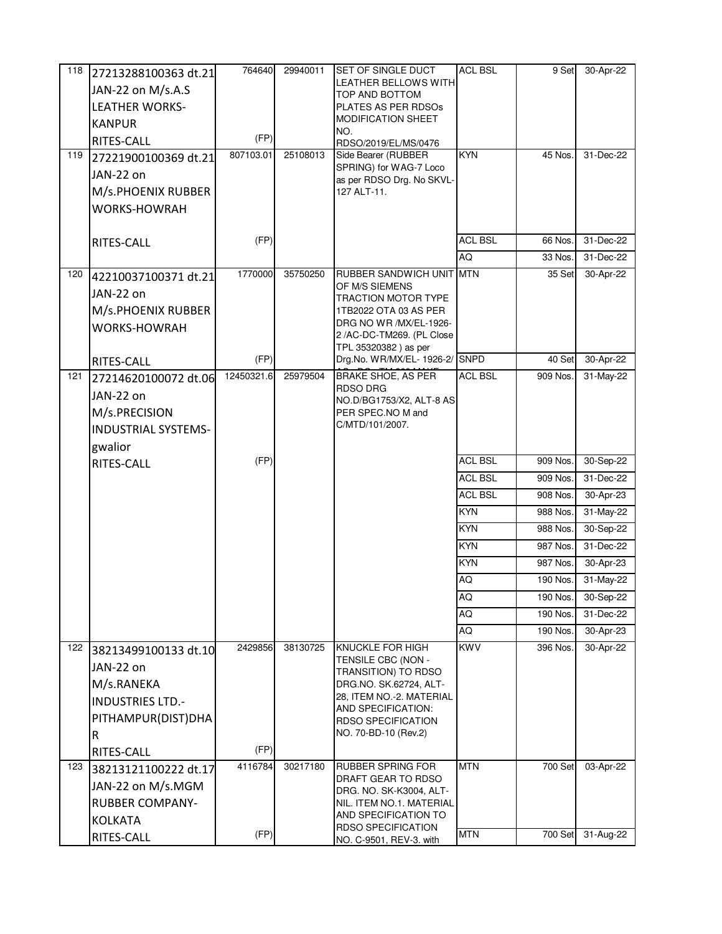| 118 | 27213288100363 dt.21       | 764640     | 29940011 | <b>ISET OF SINGLE DUCT</b>                        | <b>ACL BSL</b> | 9 Set    | 30-Apr-22 |
|-----|----------------------------|------------|----------|---------------------------------------------------|----------------|----------|-----------|
|     | JAN-22 on M/s.A.S          |            |          | <b>LEATHER BELLOWS WITH</b>                       |                |          |           |
|     | <b>LEATHER WORKS-</b>      |            |          | TOP AND BOTTOM<br>PLATES AS PER RDSOs             |                |          |           |
|     | <b>KANPUR</b>              |            |          | MODIFICATION SHEET                                |                |          |           |
|     | RITES-CALL                 | (FP)       |          | NO.<br>RDSO/2019/EL/MS/0476                       |                |          |           |
| 119 | 27221900100369 dt.21       | 807103.01  | 25108013 | Side Bearer (RUBBER                               | <b>KYN</b>     | 45 Nos.  | 31-Dec-22 |
|     | JAN-22 on                  |            |          | SPRING) for WAG-7 Loco                            |                |          |           |
|     | M/s.PHOENIX RUBBER         |            |          | as per RDSO Drg. No SKVL-<br>127 ALT-11.          |                |          |           |
|     | WORKS-HOWRAH               |            |          |                                                   |                |          |           |
|     |                            |            |          |                                                   |                |          |           |
|     | RITES-CALL                 | (FP)       |          |                                                   | <b>ACL BSL</b> | 66 Nos.  | 31-Dec-22 |
|     |                            |            |          |                                                   | AQ             | 33 Nos.  | 31-Dec-22 |
| 120 | 42210037100371 dt.21       | 1770000    | 35750250 | RUBBER SANDWICH UNIT MTN                          |                | 35 Set   | 30-Apr-22 |
|     | JAN-22 on                  |            |          | OF M/S SIEMENS<br>TRACTION MOTOR TYPE             |                |          |           |
|     | M/s.PHOENIX RUBBER         |            |          | 1TB2022 OTA 03 AS PER                             |                |          |           |
|     | <b>WORKS-HOWRAH</b>        |            |          | DRG NO WR /MX/EL-1926-                            |                |          |           |
|     |                            |            |          | 2 /AC-DC-TM269. (PL Close<br>TPL 35320382) as per |                |          |           |
|     | RITES-CALL                 | (FP)       |          | Drg.No. WR/MX/EL- 1926-2/ SNPD                    |                | 40 Set   | 30-Apr-22 |
| 121 | 27214620100072 dt.06       | 12450321.6 | 25979504 | <b>BRAKE SHOE, AS PER</b>                         | <b>ACL BSL</b> | 909 Nos. | 31-May-22 |
|     | JAN-22 on                  |            |          | RDSO DRG<br>NO.D/BG1753/X2, ALT-8 AS              |                |          |           |
|     | M/s.PRECISION              |            |          | PER SPEC.NO M and                                 |                |          |           |
|     | <b>INDUSTRIAL SYSTEMS-</b> |            |          | C/MTD/101/2007.                                   |                |          |           |
|     | gwalior                    |            |          |                                                   |                |          |           |
|     | RITES-CALL                 | (FP)       |          |                                                   | <b>ACL BSL</b> | 909 Nos. | 30-Sep-22 |
|     |                            |            |          |                                                   | <b>ACL BSL</b> | 909 Nos. | 31-Dec-22 |
|     |                            |            |          |                                                   | <b>ACL BSL</b> | 908 Nos. | 30-Apr-23 |
|     |                            |            |          |                                                   | <b>KYN</b>     | 988 Nos. | 31-May-22 |
|     |                            |            |          |                                                   | <b>KYN</b>     | 988 Nos. | 30-Sep-22 |
|     |                            |            |          |                                                   | <b>KYN</b>     | 987 Nos. | 31-Dec-22 |
|     |                            |            |          |                                                   | <b>KYN</b>     | 987 Nos. | 30-Apr-23 |
|     |                            |            |          |                                                   | AQ             | 190 Nos. | 31-May-22 |
|     |                            |            |          |                                                   | AQ             | 190 Nos. | 30-Sep-22 |
|     |                            |            |          |                                                   | AQ             | 190 Nos. | 31-Dec-22 |
|     |                            |            |          |                                                   | AQ             | 190 Nos. | 30-Apr-23 |
| 122 | 38213499100133 dt.10       | 2429856    | 38130725 | KNUCKLE FOR HIGH<br>TENSILE CBC (NON -            | <b>KWV</b>     | 396 Nos. | 30-Apr-22 |
|     | JAN-22 on                  |            |          | TRANSITION) TO RDSO                               |                |          |           |
|     | M/s.RANEKA                 |            |          | DRG.NO. SK.62724, ALT-                            |                |          |           |
|     | <b>INDUSTRIES LTD.-</b>    |            |          | 28, ITEM NO.-2. MATERIAL<br>AND SPECIFICATION:    |                |          |           |
|     | PITHAMPUR(DIST)DHA         |            |          | <b>RDSO SPECIFICATION</b>                         |                |          |           |
|     | R                          |            |          | NO. 70-BD-10 (Rev.2)                              |                |          |           |
|     | RITES-CALL                 | (FP)       |          |                                                   |                |          |           |
| 123 | 38213121100222 dt.17       | 4116784    | 30217180 | RUBBER SPRING FOR                                 | <b>MTN</b>     | 700 Set  | 03-Apr-22 |
|     | JAN-22 on M/s.MGM          |            |          | DRAFT GEAR TO RDSO<br>DRG. NO. SK-K3004, ALT-     |                |          |           |
|     | <b>RUBBER COMPANY-</b>     |            |          | NIL. ITEM NO.1. MATERIAL                          |                |          |           |
|     | <b>KOLKATA</b>             |            |          | AND SPECIFICATION TO<br><b>RDSO SPECIFICATION</b> |                |          |           |
|     | RITES-CALL                 | (FP)       |          | NO. C-9501, REV-3. with                           | <b>MTN</b>     | 700 Set  | 31-Aug-22 |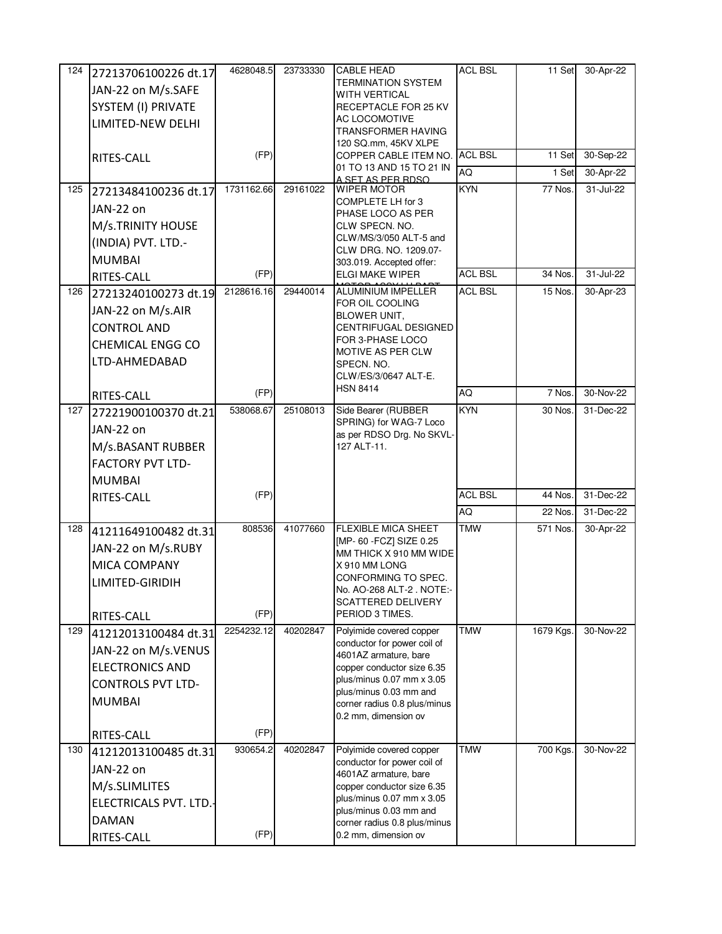| 124 | 27213706100226 dt.17     | 4628048.5  | 23733330 | <b>CABLE HEAD</b>                                       | <b>ACL BSL</b> | 11 Set    | 30-Apr-22 |
|-----|--------------------------|------------|----------|---------------------------------------------------------|----------------|-----------|-----------|
|     | JAN-22 on M/s.SAFE       |            |          | TERMINATION SYSTEM                                      |                |           |           |
|     | SYSTEM (I) PRIVATE       |            |          | <b>WITH VERTICAL</b><br>RECEPTACLE FOR 25 KV            |                |           |           |
|     | LIMITED-NEW DELHI        |            |          | AC LOCOMOTIVE                                           |                |           |           |
|     |                          |            |          | TRANSFORMER HAVING                                      |                |           |           |
|     |                          | (FP)       |          | 120 SQ.mm, 45KV XLPE<br>COPPER CABLE ITEM NO.           | <b>ACL BSL</b> | 11 Set    | 30-Sep-22 |
|     | RITES-CALL               |            |          | 01 TO 13 AND 15 TO 21 IN                                | AQ             | 1 Set     | 30-Apr-22 |
| 125 |                          | 1731162.66 | 29161022 | <u>A SFT AS PFR RDSO.</u><br>WIPER MOTOR                | <b>KYN</b>     | 77 Nos.   | 31-Jul-22 |
|     | 27213484100236 dt.17     |            |          | COMPLETE LH for 3                                       |                |           |           |
|     | JAN-22 on                |            |          | PHASE LOCO AS PER                                       |                |           |           |
|     | M/s.TRINITY HOUSE        |            |          | CLW SPECN. NO.                                          |                |           |           |
|     | (INDIA) PVT. LTD.-       |            |          | CLW/MS/3/050 ALT-5 and<br>CLW DRG. NO. 1209.07-         |                |           |           |
|     | <b>MUMBAI</b>            |            |          | 303.019. Accepted offer:                                |                |           |           |
|     | RITES-CALL               | (FP)       |          | <b>ELGI MAKE WIPER</b>                                  | <b>ACL BSL</b> | 34 Nos.   | 31-Jul-22 |
| 126 | 27213240100273 dt.19     | 2128616.16 | 29440014 | <b>ALUMINIUM IMPELLER</b>                               | <b>ACL BSL</b> | 15 Nos.   | 30-Apr-23 |
|     | JAN-22 on M/s.AIR        |            |          | FOR OIL COOLING<br>BLOWER UNIT.                         |                |           |           |
|     | <b>CONTROL AND</b>       |            |          | CENTRIFUGAL DESIGNED                                    |                |           |           |
|     | <b>CHEMICAL ENGG CO</b>  |            |          | FOR 3-PHASE LOCO                                        |                |           |           |
|     | LTD-AHMEDABAD            |            |          | MOTIVE AS PER CLW<br>SPECN. NO.                         |                |           |           |
|     |                          |            |          | CLW/ES/3/0647 ALT-E.                                    |                |           |           |
|     | RITES-CALL               | (FP)       |          | <b>HSN 8414</b>                                         | AQ             | 7 Nos.    | 30-Nov-22 |
| 127 | 27221900100370 dt.21     | 538068.67  | 25108013 | Side Bearer (RUBBER                                     | <b>KYN</b>     | 30 Nos.   | 31-Dec-22 |
|     | JAN-22 on                |            |          | SPRING) for WAG-7 Loco                                  |                |           |           |
|     |                          |            |          | as per RDSO Drg. No SKVL-<br>127 ALT-11.                |                |           |           |
|     | M/s.BASANT RUBBER        |            |          |                                                         |                |           |           |
|     | <b>FACTORY PVT LTD-</b>  |            |          |                                                         |                |           |           |
|     | <b>MUMBAI</b>            | (FP)       |          |                                                         | <b>ACL BSL</b> |           | 31-Dec-22 |
|     | RITES-CALL               |            |          |                                                         | AQ             | 44 Nos.   | 31-Dec-22 |
|     |                          |            |          |                                                         |                | 22 Nos.   |           |
| 128 | 41211649100482 dt.31     | 808536     | 41077660 | <b>FLEXIBLE MICA SHEET</b><br>[MP- 60 - FCZ] SIZE 0.25  | <b>TMW</b>     | 571 Nos.  | 30-Apr-22 |
|     | JAN-22 on M/s.RUBY       |            |          | MM THICK X 910 MM WIDE                                  |                |           |           |
|     | MICA COMPANY             |            |          | X 910 MM LONG                                           |                |           |           |
|     | LIMITED-GIRIDIH          |            |          | CONFORMING TO SPEC.<br>INo. AO-268 ALT-2 . NOTE:-       |                |           |           |
|     |                          |            |          | <b>SCATTERED DELIVERY</b>                               |                |           |           |
|     | RITES-CALL               | (FP)       |          | PERIOD 3 TIMES.                                         |                |           |           |
| 129 | 41212013100484 dt.31     | 2254232.12 | 40202847 | Polyimide covered copper                                | <b>TMW</b>     | 1679 Kgs. | 30-Nov-22 |
|     | JAN-22 on M/s.VENUS      |            |          | conductor for power coil of<br>4601AZ armature, bare    |                |           |           |
|     | <b>ELECTRONICS AND</b>   |            |          | copper conductor size 6.35                              |                |           |           |
|     | <b>CONTROLS PVT LTD-</b> |            |          | plus/minus 0.07 mm x 3.05                               |                |           |           |
|     | <b>MUMBAI</b>            |            |          | plus/minus 0.03 mm and<br>corner radius 0.8 plus/minus  |                |           |           |
|     |                          |            |          | 0.2 mm, dimension ov                                    |                |           |           |
|     | RITES-CALL               | (FP)       |          |                                                         |                |           |           |
| 130 | 41212013100485 dt.31     | 930654.2   | 40202847 | Polyimide covered copper                                | <b>TMW</b>     | 700 Kgs.  | 30-Nov-22 |
|     | JAN-22 on                |            |          | conductor for power coil of                             |                |           |           |
|     | M/s.SLIMLITES            |            |          | 4601AZ armature, bare                                   |                |           |           |
|     |                          |            |          | copper conductor size 6.35<br>plus/minus 0.07 mm x 3.05 |                |           |           |
|     | ELECTRICALS PVT. LTD.    |            |          | plus/minus 0.03 mm and                                  |                |           |           |
|     | <b>DAMAN</b>             |            |          | corner radius 0.8 plus/minus                            |                |           |           |
|     | RITES-CALL               | (FP)       |          | 0.2 mm, dimension ov                                    |                |           |           |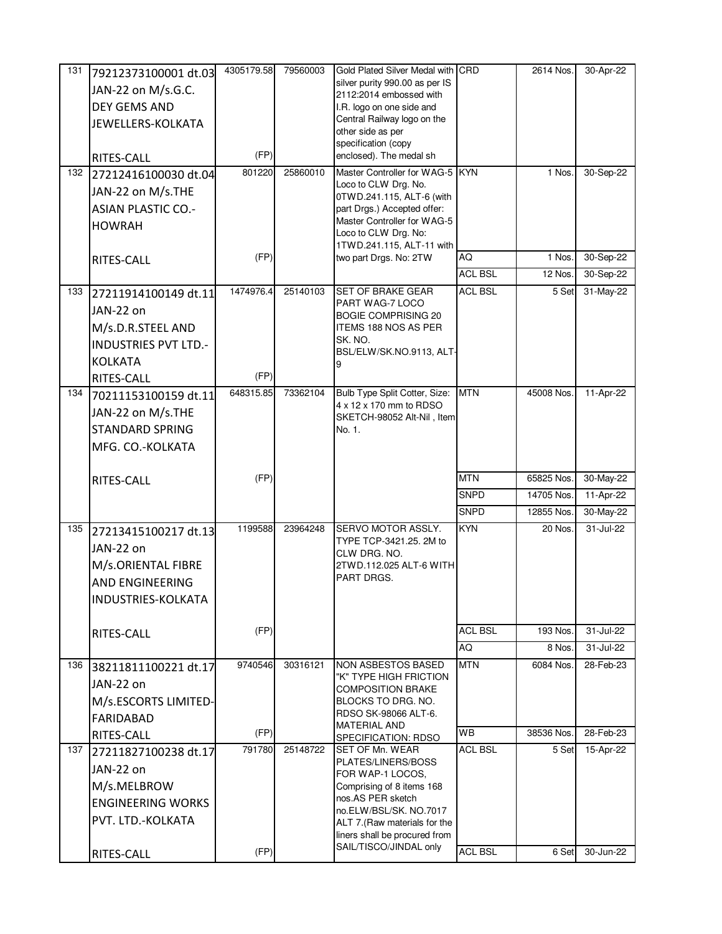| 131 | 79212373100001 dt.03        | 4305179.58 | 79560003 | Gold Plated Silver Medal with CRD                         |                | 2614 Nos.  | 30-Apr-22 |
|-----|-----------------------------|------------|----------|-----------------------------------------------------------|----------------|------------|-----------|
|     | JAN-22 on M/s.G.C.          |            |          | silver purity 990.00 as per IS<br>2112:2014 embossed with |                |            |           |
|     | DEY GEMS AND                |            |          | I.R. logo on one side and                                 |                |            |           |
|     | JEWELLERS-KOLKATA           |            |          | Central Railway logo on the                               |                |            |           |
|     |                             |            |          | other side as per                                         |                |            |           |
|     | RITES-CALL                  | (FP)       |          | specification (copy<br>enclosed). The medal sh            |                |            |           |
| 132 | 27212416100030 dt.04        | 801220     | 25860010 | Master Controller for WAG-5 KYN                           |                | 1 Nos.     | 30-Sep-22 |
|     | JAN-22 on M/s.THE           |            |          | Loco to CLW Drg. No.                                      |                |            |           |
|     | <b>ASIAN PLASTIC CO.-</b>   |            |          | 0TWD.241.115, ALT-6 (with<br>part Drgs.) Accepted offer:  |                |            |           |
|     |                             |            |          | Master Controller for WAG-5                               |                |            |           |
|     | <b>HOWRAH</b>               |            |          | Loco to CLW Drg. No:                                      |                |            |           |
|     |                             | (FP)       |          | 1TWD.241.115, ALT-11 with                                 | AQ             | 1 Nos.     | 30-Sep-22 |
|     | RITES-CALL                  |            |          | two part Drgs. No: 2TW                                    | <b>ACL BSL</b> | 12 Nos.    | 30-Sep-22 |
| 133 |                             | 1474976.4  | 25140103 | <b>SET OF BRAKE GEAR</b>                                  | <b>ACL BSL</b> | 5 Set      | 31-May-22 |
|     | 27211914100149 dt.11        |            |          | PART WAG-7 LOCO                                           |                |            |           |
|     | JAN-22 on                   |            |          | <b>BOGIE COMPRISING 20</b>                                |                |            |           |
|     | M/s.D.R.STEEL AND           |            |          | ITEMS 188 NOS AS PER<br>SK. NO.                           |                |            |           |
|     | <b>INDUSTRIES PVT LTD.-</b> |            |          | BSL/ELW/SK.NO.9113, ALT-                                  |                |            |           |
|     | <b>KOLKATA</b>              |            |          | 9                                                         |                |            |           |
|     | RITES-CALL                  | (FP)       |          |                                                           |                |            |           |
| 134 | 70211153100159 dt.11        | 648315.85  | 73362104 | Bulb Type Split Cotter, Size:<br>4 x 12 x 170 mm to RDSO  | <b>MTN</b>     | 45008 Nos. | 11-Apr-22 |
|     | JAN-22 on M/s.THE           |            |          | SKETCH-98052 Alt-Nil, Item                                |                |            |           |
|     | <b>STANDARD SPRING</b>      |            |          | No. 1.                                                    |                |            |           |
|     | MFG. CO.-KOLKATA            |            |          |                                                           |                |            |           |
|     |                             |            |          |                                                           |                |            |           |
|     | RITES-CALL                  | (FP)       |          |                                                           | <b>MTN</b>     | 65825 Nos. | 30-May-22 |
|     |                             |            |          |                                                           | <b>SNPD</b>    | 14705 Nos. | 11-Apr-22 |
|     |                             |            |          |                                                           | <b>SNPD</b>    | 12855 Nos. | 30-May-22 |
| 135 | 27213415100217 dt.13        | 1199588    | 23964248 | SERVO MOTOR ASSLY.<br>TYPE TCP-3421.25. 2M to             | <b>KYN</b>     | 20 Nos.    | 31-Jul-22 |
|     | JAN-22 on                   |            |          | CLW DRG. NO.                                              |                |            |           |
|     | M/s.ORIENTAL FIBRE          |            |          | 2TWD.112.025 ALT-6 WITH                                   |                |            |           |
|     | <b>AND ENGINEERING</b>      |            |          | PART DRGS.                                                |                |            |           |
|     | INDUSTRIES-KOLKATA          |            |          |                                                           |                |            |           |
|     |                             |            |          |                                                           |                |            |           |
|     | RITES-CALL                  | (FP)       |          |                                                           | <b>ACL BSL</b> | 193 Nos.   | 31-Jul-22 |
|     |                             |            |          |                                                           | AQ             | 8 Nos.     | 31-Jul-22 |
| 136 | 38211811100221 dt.17        | 9740546    | 30316121 | <b>NON ASBESTOS BASED</b><br>"K" TYPE HIGH FRICTION       | <b>MTN</b>     | 6084 Nos.  | 28-Feb-23 |
|     | JAN-22 on                   |            |          | COMPOSITION BRAKE                                         |                |            |           |
|     | M/s.ESCORTS LIMITED-        |            |          | BLOCKS TO DRG. NO.                                        |                |            |           |
|     | <b>FARIDABAD</b>            |            |          | RDSO SK-98066 ALT-6.<br><b>MATERIAL AND</b>               |                |            |           |
|     | RITES-CALL                  | (FP)       |          | SPECIFICATION: RDSO                                       | <b>WB</b>      | 38536 Nos. | 28-Feb-23 |
| 137 | 27211827100238 dt.17        | 791780     | 25148722 | SET OF Mn. WEAR<br>PLATES/LINERS/BOSS                     | <b>ACL BSL</b> | 5 Set      | 15-Apr-22 |
|     | JAN-22 on                   |            |          | FOR WAP-1 LOCOS,                                          |                |            |           |
|     | M/s.MELBROW                 |            |          | Comprising of 8 items 168                                 |                |            |           |
|     | <b>ENGINEERING WORKS</b>    |            |          | nos.AS PER sketch                                         |                |            |           |
|     | PVT. LTD.-KOLKATA           |            |          | no.ELW/BSL/SK. NO.7017<br>ALT 7.(Raw materials for the    |                |            |           |
|     |                             |            |          | liners shall be procured from                             |                |            |           |
|     | RITES-CALL                  | (FP)       |          | SAIL/TISCO/JINDAL only                                    | <b>ACL BSL</b> | 6 Set      | 30-Jun-22 |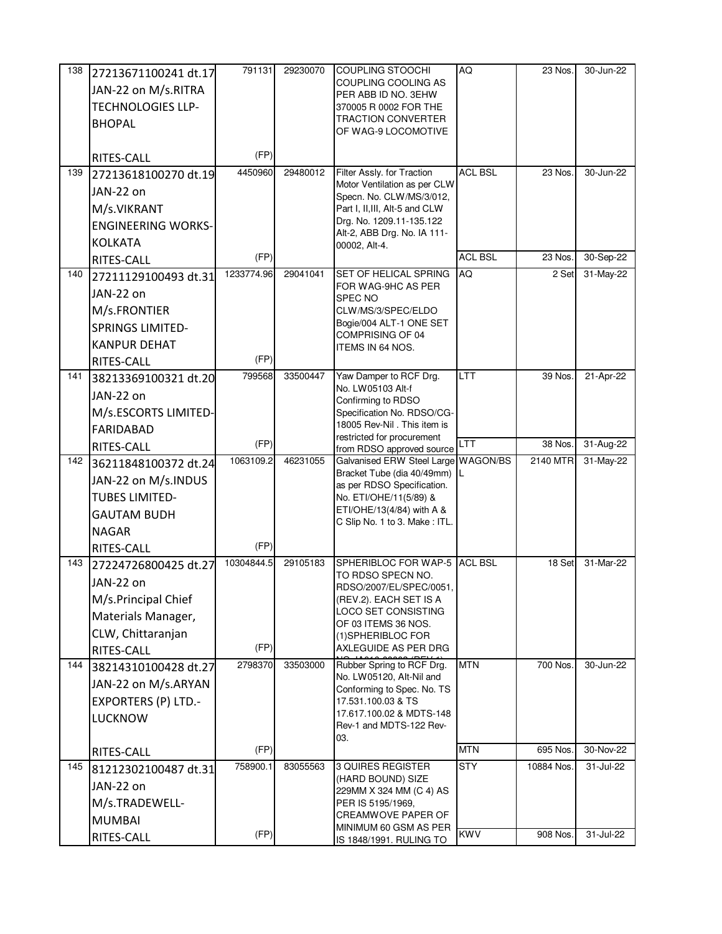| 138 | 27213671100241 dt.17       | 791131     | 29230070 | <b>COUPLING STOOCHI</b>                                    | AQ              | 23 Nos.    | 30-Jun-22 |
|-----|----------------------------|------------|----------|------------------------------------------------------------|-----------------|------------|-----------|
|     | JAN-22 on M/s.RITRA        |            |          | COUPLING COOLING AS<br>PER ABB ID NO. 3EHW                 |                 |            |           |
|     | <b>TECHNOLOGIES LLP-</b>   |            |          | 370005 R 0002 FOR THE                                      |                 |            |           |
|     | <b>BHOPAL</b>              |            |          | TRACTION CONVERTER                                         |                 |            |           |
|     |                            |            |          | OF WAG-9 LOCOMOTIVE                                        |                 |            |           |
|     | RITES-CALL                 | (FP)       |          |                                                            |                 |            |           |
| 139 | 27213618100270 dt.19       | 4450960    | 29480012 | Filter Assly. for Traction<br>Motor Ventilation as per CLW | <b>ACL BSL</b>  | 23 Nos.    | 30-Jun-22 |
|     | JAN-22 on                  |            |          | Specn. No. CLW/MS/3/012,                                   |                 |            |           |
|     | M/s.VIKRANT                |            |          | Part I, II, III, Alt-5 and CLW                             |                 |            |           |
|     | <b>ENGINEERING WORKS-</b>  |            |          | Drg. No. 1209.11-135.122<br>Alt-2, ABB Drg. No. IA 111-    |                 |            |           |
|     | <b>KOLKATA</b>             |            |          | 00002, Alt-4.                                              |                 |            |           |
|     | RITES-CALL                 | (FP)       |          |                                                            | <b>ACL BSL</b>  | 23 Nos.    | 30-Sep-22 |
| 140 | 27211129100493 dt.31       | 1233774.96 | 29041041 | SET OF HELICAL SPRING<br>FOR WAG-9HC AS PER                | <b>AQ</b>       | 2 Set      | 31-May-22 |
|     | JAN-22 on                  |            |          | SPEC NO                                                    |                 |            |           |
|     | M/s.FRONTIER               |            |          | CLW/MS/3/SPEC/ELDO                                         |                 |            |           |
|     | <b>SPRINGS LIMITED-</b>    |            |          | Bogie/004 ALT-1 ONE SET<br>COMPRISING OF 04                |                 |            |           |
|     | <b>KANPUR DEHAT</b>        |            |          | ITEMS IN 64 NOS.                                           |                 |            |           |
|     | RITES-CALL                 | (FP)       |          |                                                            |                 |            |           |
| 141 | 38213369100321 dt.20       | 799568     | 33500447 | Yaw Damper to RCF Drg.                                     | <b>LTT</b>      | 39 Nos.    | 21-Apr-22 |
|     | JAN-22 on                  |            |          | No. LW05103 Alt-f<br>Confirming to RDSO                    |                 |            |           |
|     | M/s.ESCORTS LIMITED-       |            |          | Specification No. RDSO/CG-                                 |                 |            |           |
|     | FARIDABAD                  |            |          | 18005 Rev-Nil . This item is<br>restricted for procurement |                 |            |           |
|     | RITES-CALL                 | (FP)       |          | from RDSO approved source                                  | LTT             | 38 Nos.    | 31-Aug-22 |
| 142 | 36211848100372 dt.24       | 1063109.2  | 46231055 | Galvanised ERW Steel Large                                 | <b>WAGON/BS</b> | 2140 MTR   | 31-May-22 |
|     | JAN-22 on M/s.INDUS        |            |          | Bracket Tube (dia 40/49mm)<br>as per RDSO Specification.   | IL              |            |           |
|     | <b>TUBES LIMITED-</b>      |            |          | No. ETI/OHE/11(5/89) &                                     |                 |            |           |
|     | <b>GAUTAM BUDH</b>         |            |          | ETI/OHE/13(4/84) with A &<br>C Slip No. 1 to 3. Make: ITL. |                 |            |           |
|     |                            |            |          |                                                            |                 |            |           |
|     | <b>NAGAR</b>               |            |          |                                                            |                 |            |           |
|     | RITES-CALL                 | (FP)       |          |                                                            |                 |            |           |
| 143 | 27224726800425 dt.27       | 10304844.5 | 29105183 | SPHERIBLOC FOR WAP-5 ACL BSL                               |                 | 18 Set     | 31-Mar-22 |
|     | JAN-22 on                  |            |          | TO RDSO SPECN NO.<br>RDSO/2007/EL/SPEC/0051,               |                 |            |           |
|     | M/s.Principal Chief        |            |          | (REV.2). EACH SET IS A                                     |                 |            |           |
|     | Materials Manager,         |            |          | LOCO SET CONSISTING                                        |                 |            |           |
|     | CLW, Chittaranjan          |            |          | OF 03 ITEMS 36 NOS.<br>(1) SPHERIBLOC FOR                  |                 |            |           |
|     | RITES-CALL                 | (FP)       |          | AXLEGUIDE AS PER DRG                                       |                 |            |           |
| 144 | 38214310100428 dt.27       | 2798370    | 33503000 | Rubber Spring to RCF Drg.                                  | <b>MTN</b>      | 700 Nos.   | 30-Jun-22 |
|     | JAN-22 on M/s.ARYAN        |            |          | No. LW05120, Alt-Nil and<br>Conforming to Spec. No. TS     |                 |            |           |
|     | <b>EXPORTERS (P) LTD.-</b> |            |          | 17.531.100.03 & TS                                         |                 |            |           |
|     | <b>LUCKNOW</b>             |            |          | 17.617.100.02 & MDTS-148                                   |                 |            |           |
|     |                            |            |          | Rev-1 and MDTS-122 Rev-<br>03.                             |                 |            |           |
|     | RITES-CALL                 | (FP)       |          |                                                            | <b>MTN</b>      | 695 Nos.   | 30-Nov-22 |
| 145 | 81212302100487 dt.31       | 758900.1   | 83055563 | <b>3 QUIRES REGISTER</b>                                   | <b>STY</b>      | 10884 Nos. | 31-Jul-22 |
|     | JAN-22 on                  |            |          | (HARD BOUND) SIZE<br>229MM X 324 MM (C 4) AS               |                 |            |           |
|     | M/s.TRADEWELL-             |            |          | PER IS 5195/1969,                                          |                 |            |           |
|     | <b>MUMBAI</b>              | (FP)       |          | <b>CREAMWOVE PAPER OF</b><br>MINIMUM 60 GSM AS PER         | <b>KWV</b>      |            |           |